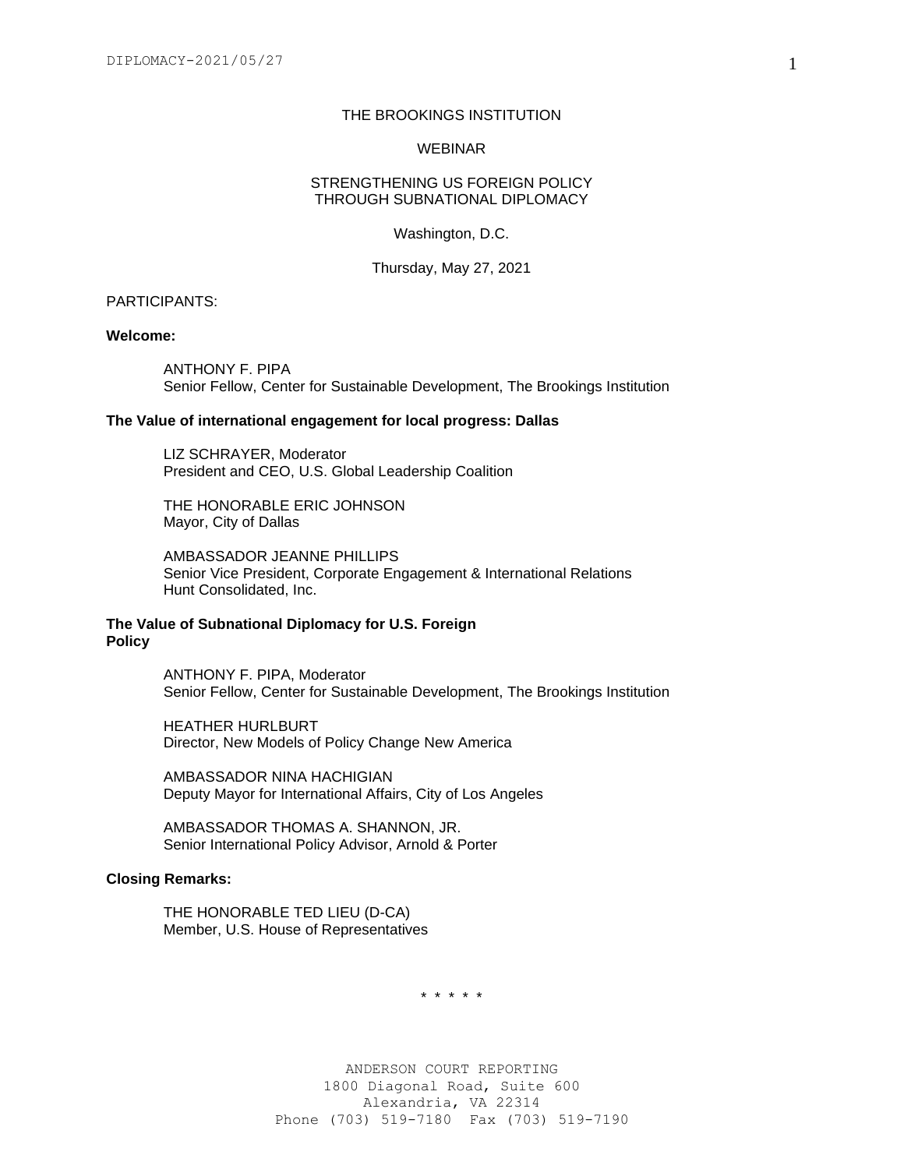## THE BROOKINGS INSTITUTION

#### WEBINAR

### STRENGTHENING US FOREIGN POLICY THROUGH SUBNATIONAL DIPLOMACY

Washington, D.C.

Thursday, May 27, 2021

## PARTICIPANTS:

### **Welcome:**

ANTHONY F. PIPA Senior Fellow, Center for Sustainable Development, The Brookings Institution

#### **The Value of international engagement for local progress: Dallas**

LIZ SCHRAYER, Moderator President and CEO, U.S. Global Leadership Coalition

THE HONORABLE ERIC JOHNSON Mayor, City of Dallas

AMBASSADOR JEANNE PHILLIPS Senior Vice President, Corporate Engagement & International Relations Hunt Consolidated, Inc.

# **The Value of Subnational Diplomacy for U.S. Foreign Policy**

ANTHONY F. PIPA, Moderator Senior Fellow, Center for Sustainable Development, The Brookings Institution

HEATHER HURLBURT Director, New Models of Policy Change New America

AMBASSADOR NINA HACHIGIAN Deputy Mayor for International Affairs, City of Los Angeles

AMBASSADOR THOMAS A. SHANNON, JR. Senior International Policy Advisor, Arnold & Porter

# **Closing Remarks:**

THE HONORABLE TED LIEU (D-CA) Member, U.S. House of Representatives

\* \* \* \* \*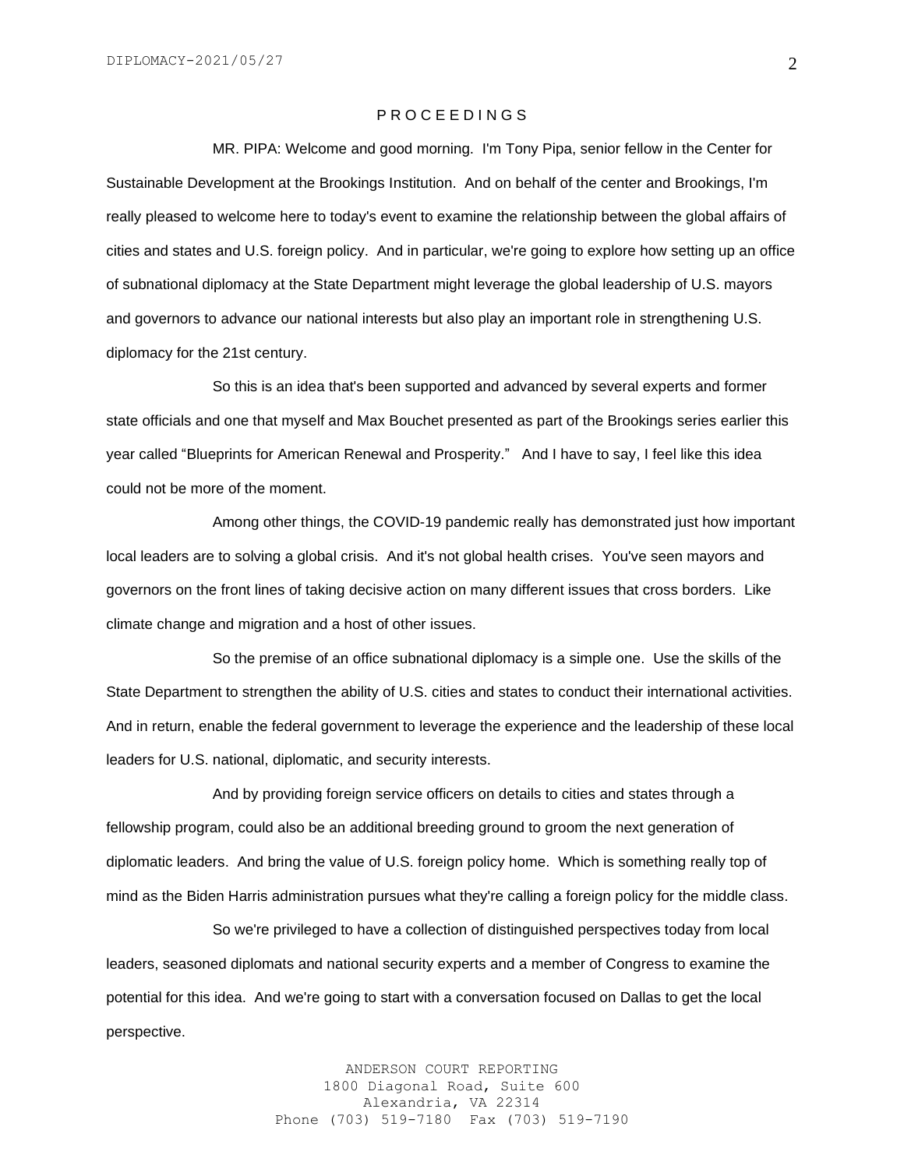## P R O C E E D I N G S

MR. PIPA: Welcome and good morning. I'm Tony Pipa, senior fellow in the Center for Sustainable Development at the Brookings Institution. And on behalf of the center and Brookings, I'm really pleased to welcome here to today's event to examine the relationship between the global affairs of cities and states and U.S. foreign policy. And in particular, we're going to explore how setting up an office of subnational diplomacy at the State Department might leverage the global leadership of U.S. mayors and governors to advance our national interests but also play an important role in strengthening U.S. diplomacy for the 21st century.

So this is an idea that's been supported and advanced by several experts and former state officials and one that myself and Max Bouchet presented as part of the Brookings series earlier this year called "Blueprints for American Renewal and Prosperity." And I have to say, I feel like this idea could not be more of the moment.

 Among other things, the COVID-19 pandemic really has demonstrated just how important local leaders are to solving a global crisis. And it's not global health crises. You've seen mayors and governors on the front lines of taking decisive action on many different issues that cross borders. Like climate change and migration and a host of other issues.

So the premise of an office subnational diplomacy is a simple one. Use the skills of the State Department to strengthen the ability of U.S. cities and states to conduct their international activities. And in return, enable the federal government to leverage the experience and the leadership of these local leaders for U.S. national, diplomatic, and security interests.

And by providing foreign service officers on details to cities and states through a fellowship program, could also be an additional breeding ground to groom the next generation of diplomatic leaders. And bring the value of U.S. foreign policy home. Which is something really top of mind as the Biden Harris administration pursues what they're calling a foreign policy for the middle class.

So we're privileged to have a collection of distinguished perspectives today from local leaders, seasoned diplomats and national security experts and a member of Congress to examine the potential for this idea. And we're going to start with a conversation focused on Dallas to get the local perspective.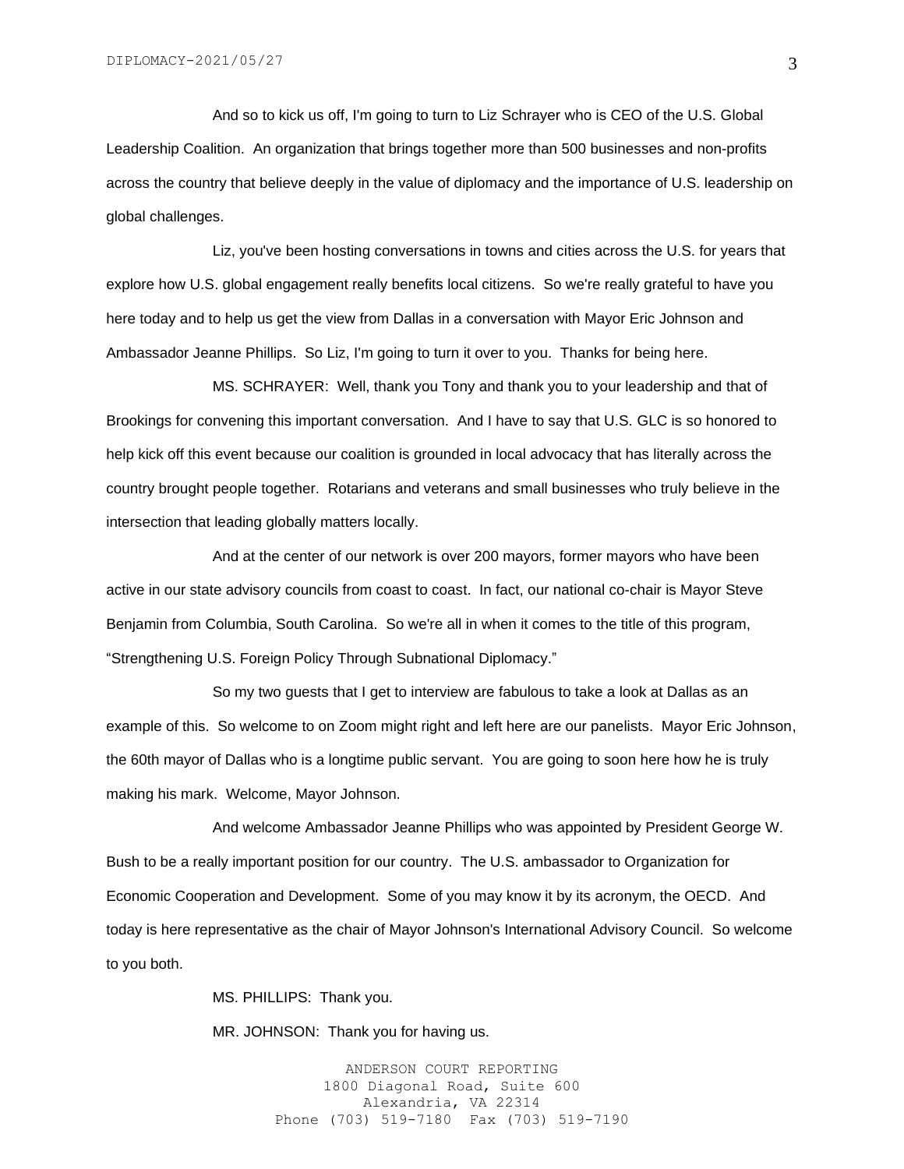And so to kick us off, I'm going to turn to Liz Schrayer who is CEO of the U.S. Global Leadership Coalition. An organization that brings together more than 500 businesses and non-profits across the country that believe deeply in the value of diplomacy and the importance of U.S. leadership on global challenges.

Liz, you've been hosting conversations in towns and cities across the U.S. for years that explore how U.S. global engagement really benefits local citizens. So we're really grateful to have you here today and to help us get the view from Dallas in a conversation with Mayor Eric Johnson and Ambassador Jeanne Phillips. So Liz, I'm going to turn it over to you. Thanks for being here.

MS. SCHRAYER: Well, thank you Tony and thank you to your leadership and that of Brookings for convening this important conversation. And I have to say that U.S. GLC is so honored to help kick off this event because our coalition is grounded in local advocacy that has literally across the country brought people together. Rotarians and veterans and small businesses who truly believe in the intersection that leading globally matters locally.

And at the center of our network is over 200 mayors, former mayors who have been active in our state advisory councils from coast to coast. In fact, our national co-chair is Mayor Steve Benjamin from Columbia, South Carolina. So we're all in when it comes to the title of this program, "Strengthening U.S. Foreign Policy Through Subnational Diplomacy."

So my two guests that I get to interview are fabulous to take a look at Dallas as an example of this. So welcome to on Zoom might right and left here are our panelists. Mayor Eric Johnson, the 60th mayor of Dallas who is a longtime public servant. You are going to soon here how he is truly making his mark. Welcome, Mayor Johnson.

And welcome Ambassador Jeanne Phillips who was appointed by President George W. Bush to be a really important position for our country. The U.S. ambassador to Organization for Economic Cooperation and Development. Some of you may know it by its acronym, the OECD. And today is here representative as the chair of Mayor Johnson's International Advisory Council. So welcome to you both.

MS. PHILLIPS: Thank you.

MR. JOHNSON: Thank you for having us.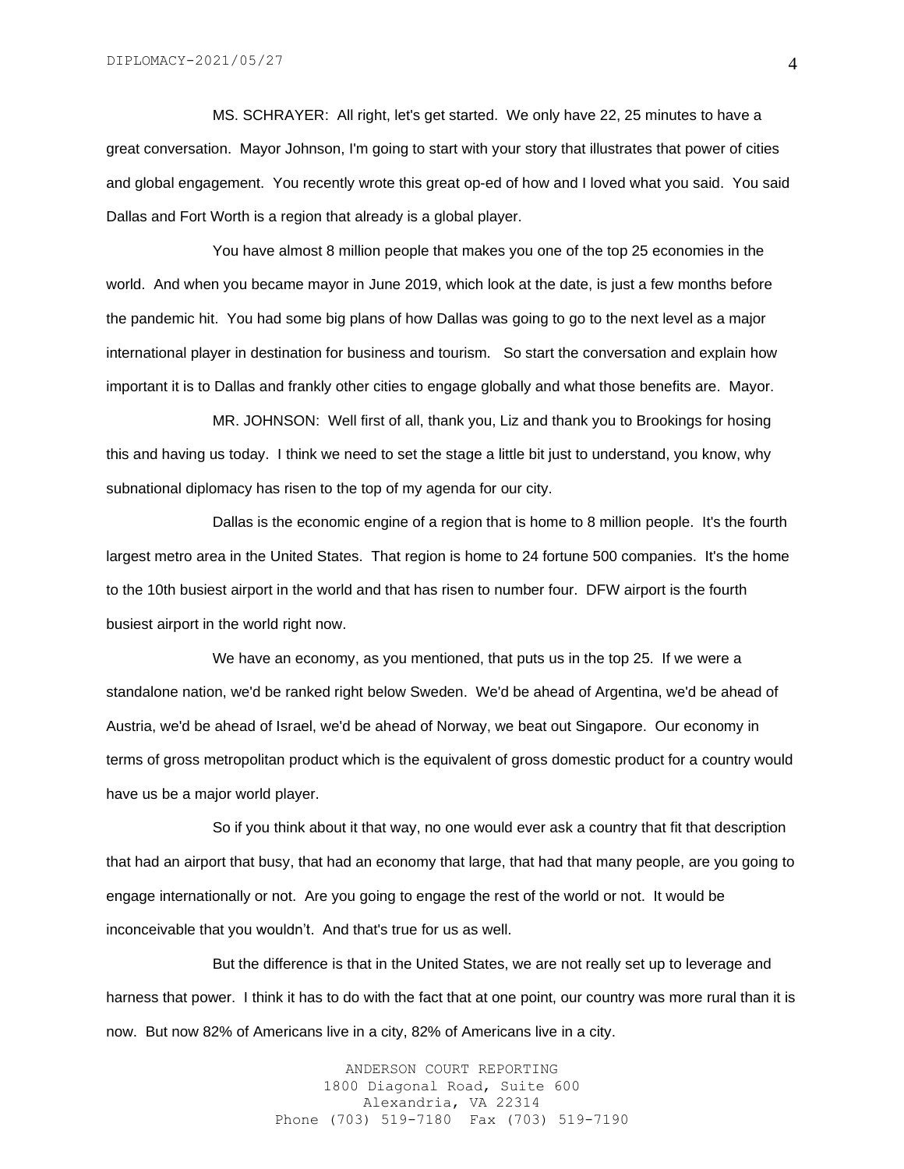MS. SCHRAYER: All right, let's get started. We only have 22, 25 minutes to have a great conversation. Mayor Johnson, I'm going to start with your story that illustrates that power of cities and global engagement. You recently wrote this great op-ed of how and I loved what you said. You said Dallas and Fort Worth is a region that already is a global player.

You have almost 8 million people that makes you one of the top 25 economies in the world. And when you became mayor in June 2019, which look at the date, is just a few months before the pandemic hit. You had some big plans of how Dallas was going to go to the next level as a major international player in destination for business and tourism. So start the conversation and explain how important it is to Dallas and frankly other cities to engage globally and what those benefits are. Mayor.

MR. JOHNSON: Well first of all, thank you, Liz and thank you to Brookings for hosing this and having us today. I think we need to set the stage a little bit just to understand, you know, why subnational diplomacy has risen to the top of my agenda for our city.

Dallas is the economic engine of a region that is home to 8 million people. It's the fourth largest metro area in the United States. That region is home to 24 fortune 500 companies. It's the home to the 10th busiest airport in the world and that has risen to number four. DFW airport is the fourth busiest airport in the world right now.

We have an economy, as you mentioned, that puts us in the top 25. If we were a standalone nation, we'd be ranked right below Sweden. We'd be ahead of Argentina, we'd be ahead of Austria, we'd be ahead of Israel, we'd be ahead of Norway, we beat out Singapore. Our economy in terms of gross metropolitan product which is the equivalent of gross domestic product for a country would have us be a major world player.

So if you think about it that way, no one would ever ask a country that fit that description that had an airport that busy, that had an economy that large, that had that many people, are you going to engage internationally or not. Are you going to engage the rest of the world or not. It would be inconceivable that you wouldn't. And that's true for us as well.

But the difference is that in the United States, we are not really set up to leverage and harness that power. I think it has to do with the fact that at one point, our country was more rural than it is now. But now 82% of Americans live in a city, 82% of Americans live in a city.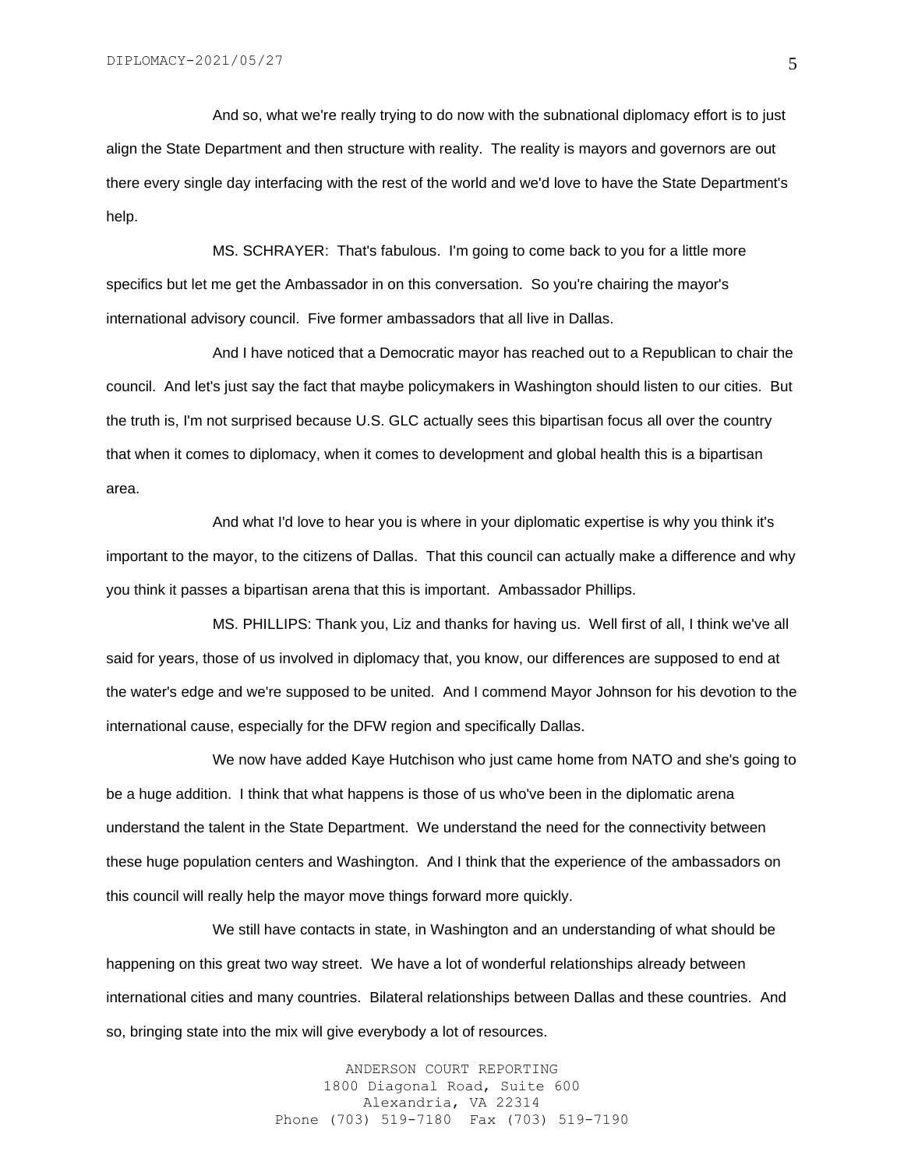And so, what we're really trying to do now with the subnational diplomacy effort is to just align the State Department and then structure with reality. The reality is mayors and governors are out there every single day interfacing with the rest of the world and we'd love to have the State Department's help.

MS. SCHRAYER: That's fabulous. I'm going to come back to you for a little more specifics but let me get the Ambassador in on this conversation. So you're chairing the mayor's international advisory council. Five former ambassadors that all live in Dallas.

And I have noticed that a Democratic mayor has reached out to a Republican to chair the council. And let's just say the fact that maybe policymakers in Washington should listen to our cities. But the truth is, I'm not surprised because U.S. GLC actually sees this bipartisan focus all over the country that when it comes to diplomacy, when it comes to development and global health this is a bipartisan area.

And what I'd love to hear you is where in your diplomatic expertise is why you think it's important to the mayor, to the citizens of Dallas. That this council can actually make a difference and why you think it passes a bipartisan arena that this is important. Ambassador Phillips.

MS. PHILLIPS: Thank you, Liz and thanks for having us. Well first of all, I think we've all said for years, those of us involved in diplomacy that, you know, our differences are supposed to end at the water's edge and we're supposed to be united. And I commend Mayor Johnson for his devotion to the international cause, especially for the DFW region and specifically Dallas.

We now have added Kaye Hutchison who just came home from NATO and she's going to be a huge addition. I think that what happens is those of us who've been in the diplomatic arena understand the talent in the State Department. We understand the need for the connectivity between these huge population centers and Washington. And I think that the experience of the ambassadors on this council will really help the mayor move things forward more quickly.

We still have contacts in state, in Washington and an understanding of what should be happening on this great two way street. We have a lot of wonderful relationships already between international cities and many countries. Bilateral relationships between Dallas and these countries. And so, bringing state into the mix will give everybody a lot of resources.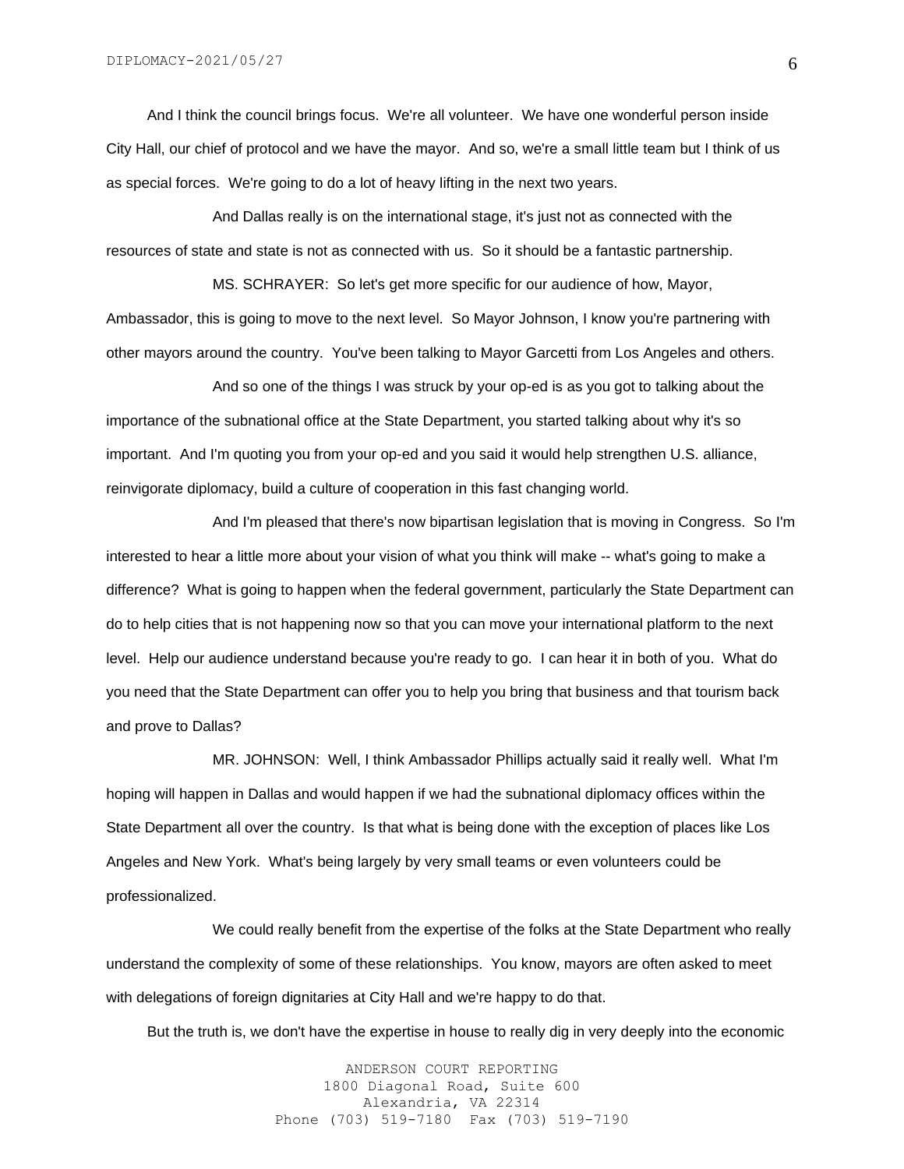And I think the council brings focus. We're all volunteer. We have one wonderful person inside City Hall, our chief of protocol and we have the mayor. And so, we're a small little team but I think of us as special forces. We're going to do a lot of heavy lifting in the next two years.

And Dallas really is on the international stage, it's just not as connected with the resources of state and state is not as connected with us. So it should be a fantastic partnership.

MS. SCHRAYER: So let's get more specific for our audience of how, Mayor, Ambassador, this is going to move to the next level. So Mayor Johnson, I know you're partnering with other mayors around the country. You've been talking to Mayor Garcetti from Los Angeles and others.

And so one of the things I was struck by your op-ed is as you got to talking about the importance of the subnational office at the State Department, you started talking about why it's so important. And I'm quoting you from your op-ed and you said it would help strengthen U.S. alliance, reinvigorate diplomacy, build a culture of cooperation in this fast changing world.

And I'm pleased that there's now bipartisan legislation that is moving in Congress. So I'm interested to hear a little more about your vision of what you think will make -- what's going to make a difference? What is going to happen when the federal government, particularly the State Department can do to help cities that is not happening now so that you can move your international platform to the next level. Help our audience understand because you're ready to go. I can hear it in both of you. What do you need that the State Department can offer you to help you bring that business and that tourism back and prove to Dallas?

MR. JOHNSON: Well, I think Ambassador Phillips actually said it really well. What I'm hoping will happen in Dallas and would happen if we had the subnational diplomacy offices within the State Department all over the country. Is that what is being done with the exception of places like Los Angeles and New York. What's being largely by very small teams or even volunteers could be professionalized.

We could really benefit from the expertise of the folks at the State Department who really understand the complexity of some of these relationships. You know, mayors are often asked to meet with delegations of foreign dignitaries at City Hall and we're happy to do that.

But the truth is, we don't have the expertise in house to really dig in very deeply into the economic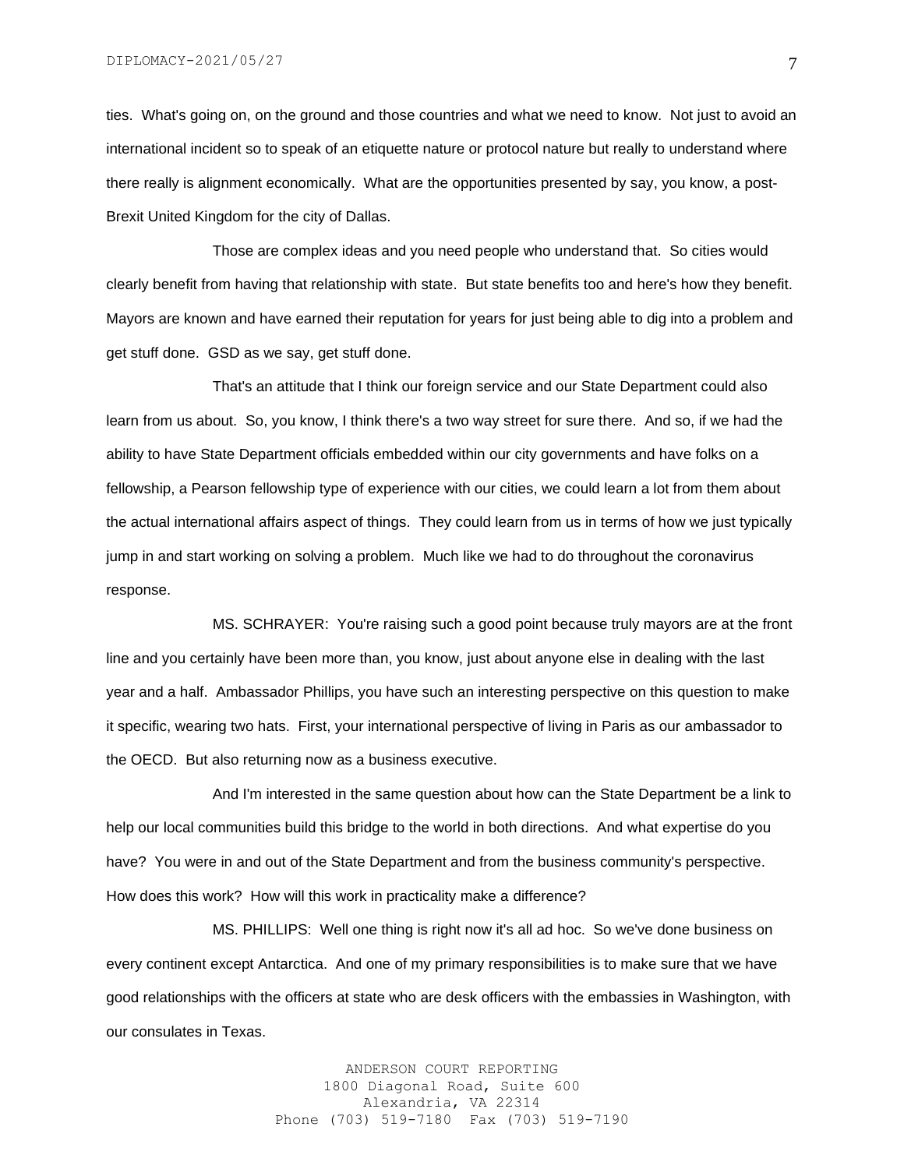ties. What's going on, on the ground and those countries and what we need to know. Not just to avoid an international incident so to speak of an etiquette nature or protocol nature but really to understand where there really is alignment economically. What are the opportunities presented by say, you know, a post-Brexit United Kingdom for the city of Dallas.

Those are complex ideas and you need people who understand that. So cities would clearly benefit from having that relationship with state. But state benefits too and here's how they benefit. Mayors are known and have earned their reputation for years for just being able to dig into a problem and get stuff done. GSD as we say, get stuff done.

That's an attitude that I think our foreign service and our State Department could also learn from us about. So, you know, I think there's a two way street for sure there. And so, if we had the ability to have State Department officials embedded within our city governments and have folks on a fellowship, a Pearson fellowship type of experience with our cities, we could learn a lot from them about the actual international affairs aspect of things. They could learn from us in terms of how we just typically jump in and start working on solving a problem. Much like we had to do throughout the coronavirus response.

MS. SCHRAYER: You're raising such a good point because truly mayors are at the front line and you certainly have been more than, you know, just about anyone else in dealing with the last year and a half. Ambassador Phillips, you have such an interesting perspective on this question to make it specific, wearing two hats. First, your international perspective of living in Paris as our ambassador to the OECD. But also returning now as a business executive.

And I'm interested in the same question about how can the State Department be a link to help our local communities build this bridge to the world in both directions. And what expertise do you have? You were in and out of the State Department and from the business community's perspective. How does this work? How will this work in practicality make a difference?

MS. PHILLIPS: Well one thing is right now it's all ad hoc. So we've done business on every continent except Antarctica. And one of my primary responsibilities is to make sure that we have good relationships with the officers at state who are desk officers with the embassies in Washington, with our consulates in Texas.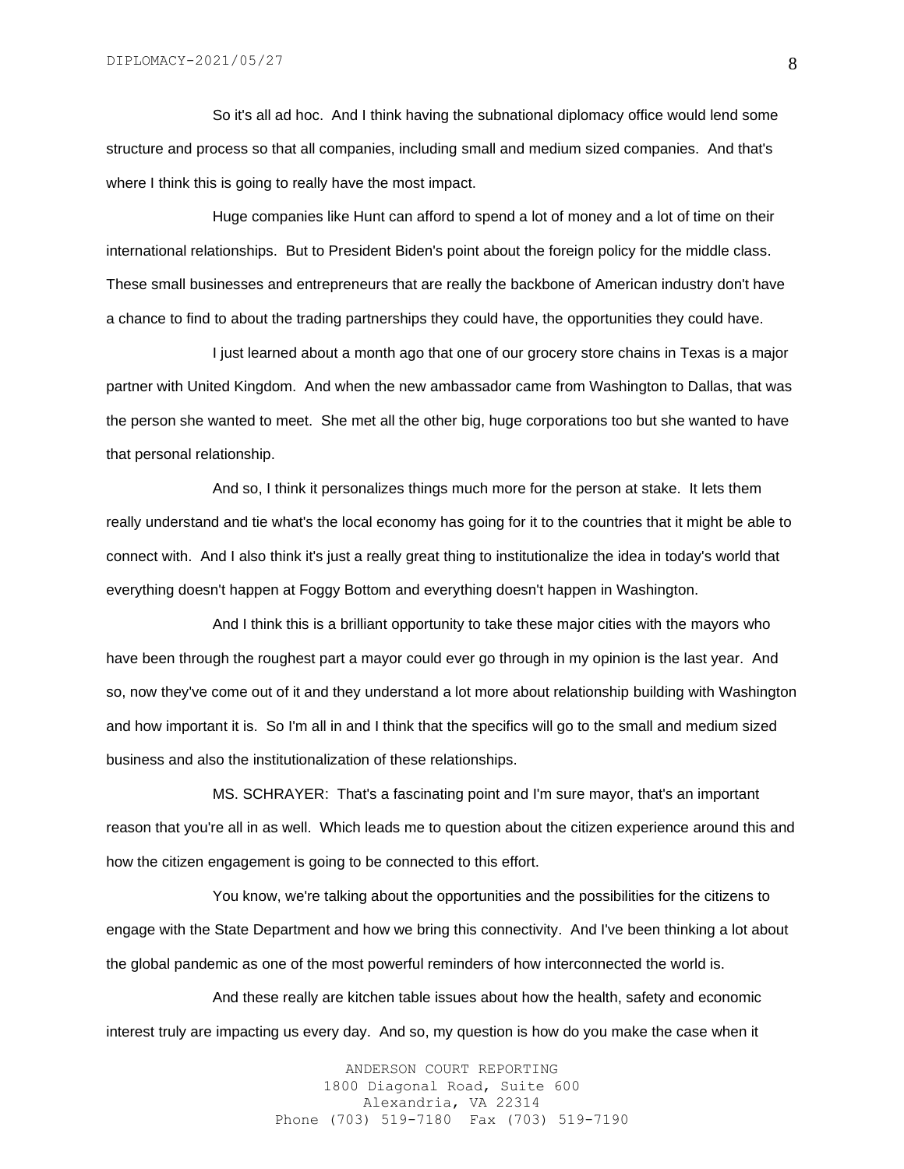So it's all ad hoc. And I think having the subnational diplomacy office would lend some structure and process so that all companies, including small and medium sized companies. And that's where I think this is going to really have the most impact.

Huge companies like Hunt can afford to spend a lot of money and a lot of time on their international relationships. But to President Biden's point about the foreign policy for the middle class. These small businesses and entrepreneurs that are really the backbone of American industry don't have a chance to find to about the trading partnerships they could have, the opportunities they could have.

I just learned about a month ago that one of our grocery store chains in Texas is a major partner with United Kingdom. And when the new ambassador came from Washington to Dallas, that was the person she wanted to meet. She met all the other big, huge corporations too but she wanted to have that personal relationship.

And so, I think it personalizes things much more for the person at stake. It lets them really understand and tie what's the local economy has going for it to the countries that it might be able to connect with. And I also think it's just a really great thing to institutionalize the idea in today's world that everything doesn't happen at Foggy Bottom and everything doesn't happen in Washington.

And I think this is a brilliant opportunity to take these major cities with the mayors who have been through the roughest part a mayor could ever go through in my opinion is the last year. And so, now they've come out of it and they understand a lot more about relationship building with Washington and how important it is. So I'm all in and I think that the specifics will go to the small and medium sized business and also the institutionalization of these relationships.

MS. SCHRAYER: That's a fascinating point and I'm sure mayor, that's an important reason that you're all in as well. Which leads me to question about the citizen experience around this and how the citizen engagement is going to be connected to this effort.

You know, we're talking about the opportunities and the possibilities for the citizens to engage with the State Department and how we bring this connectivity. And I've been thinking a lot about the global pandemic as one of the most powerful reminders of how interconnected the world is.

And these really are kitchen table issues about how the health, safety and economic interest truly are impacting us every day. And so, my question is how do you make the case when it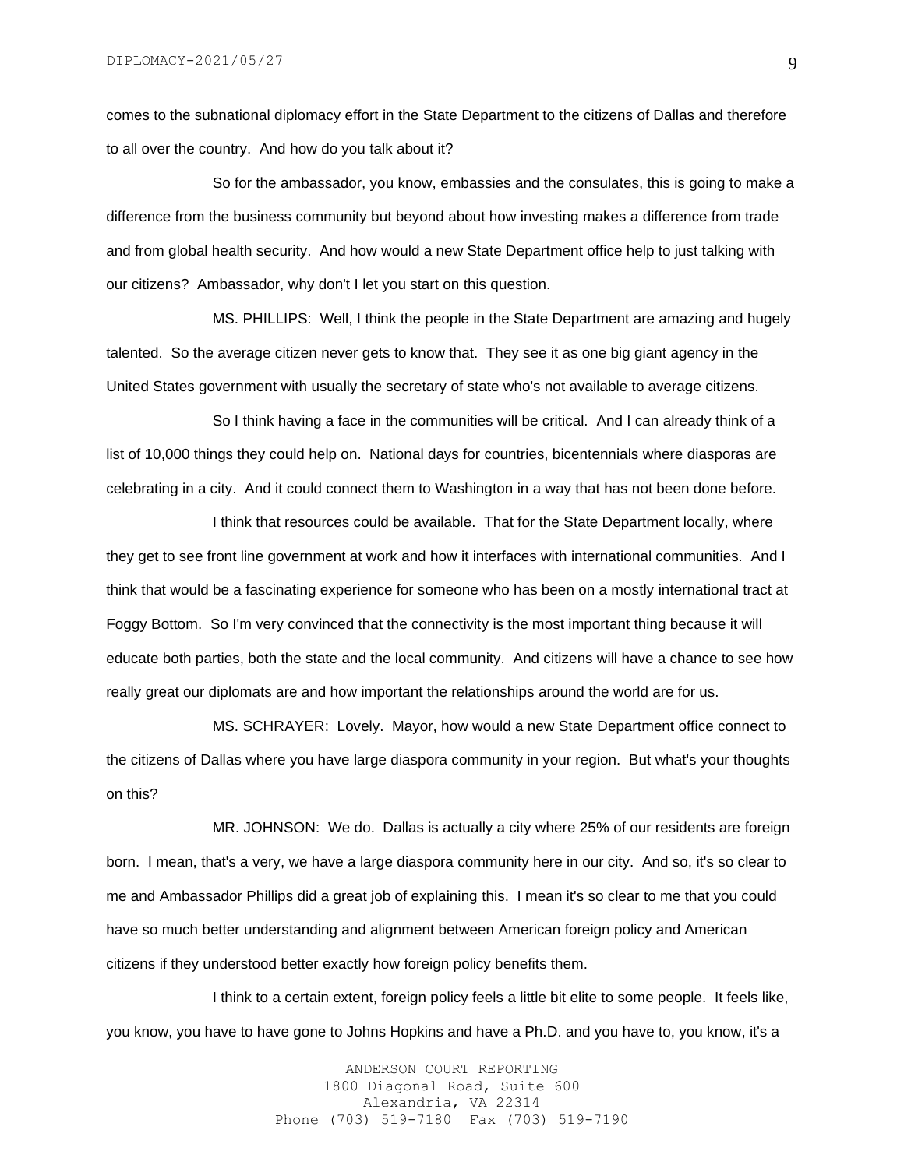comes to the subnational diplomacy effort in the State Department to the citizens of Dallas and therefore to all over the country. And how do you talk about it?

So for the ambassador, you know, embassies and the consulates, this is going to make a difference from the business community but beyond about how investing makes a difference from trade and from global health security. And how would a new State Department office help to just talking with our citizens? Ambassador, why don't I let you start on this question.

MS. PHILLIPS: Well, I think the people in the State Department are amazing and hugely talented. So the average citizen never gets to know that. They see it as one big giant agency in the United States government with usually the secretary of state who's not available to average citizens.

So I think having a face in the communities will be critical. And I can already think of a list of 10,000 things they could help on. National days for countries, bicentennials where diasporas are celebrating in a city. And it could connect them to Washington in a way that has not been done before.

I think that resources could be available. That for the State Department locally, where they get to see front line government at work and how it interfaces with international communities. And I think that would be a fascinating experience for someone who has been on a mostly international tract at Foggy Bottom. So I'm very convinced that the connectivity is the most important thing because it will educate both parties, both the state and the local community. And citizens will have a chance to see how really great our diplomats are and how important the relationships around the world are for us.

MS. SCHRAYER: Lovely. Mayor, how would a new State Department office connect to the citizens of Dallas where you have large diaspora community in your region. But what's your thoughts on this?

MR. JOHNSON: We do. Dallas is actually a city where 25% of our residents are foreign born. I mean, that's a very, we have a large diaspora community here in our city. And so, it's so clear to me and Ambassador Phillips did a great job of explaining this. I mean it's so clear to me that you could have so much better understanding and alignment between American foreign policy and American citizens if they understood better exactly how foreign policy benefits them.

I think to a certain extent, foreign policy feels a little bit elite to some people. It feels like, you know, you have to have gone to Johns Hopkins and have a Ph.D. and you have to, you know, it's a

> ANDERSON COURT REPORTING 1800 Diagonal Road, Suite 600 Alexandria, VA 22314 Phone (703) 519-7180 Fax (703) 519-7190

9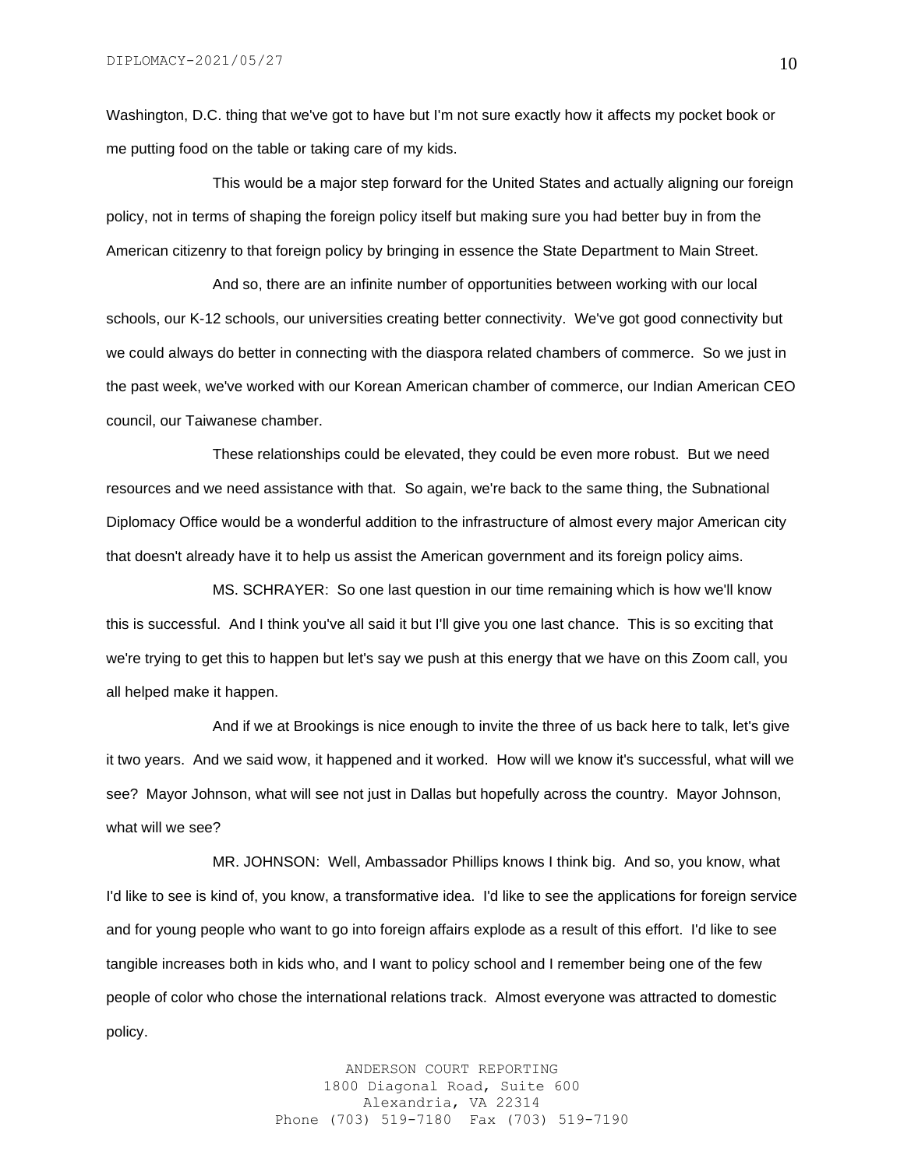Washington, D.C. thing that we've got to have but I'm not sure exactly how it affects my pocket book or me putting food on the table or taking care of my kids.

This would be a major step forward for the United States and actually aligning our foreign policy, not in terms of shaping the foreign policy itself but making sure you had better buy in from the American citizenry to that foreign policy by bringing in essence the State Department to Main Street.

And so, there are an infinite number of opportunities between working with our local schools, our K-12 schools, our universities creating better connectivity. We've got good connectivity but we could always do better in connecting with the diaspora related chambers of commerce. So we just in the past week, we've worked with our Korean American chamber of commerce, our Indian American CEO council, our Taiwanese chamber.

These relationships could be elevated, they could be even more robust. But we need resources and we need assistance with that. So again, we're back to the same thing, the Subnational Diplomacy Office would be a wonderful addition to the infrastructure of almost every major American city that doesn't already have it to help us assist the American government and its foreign policy aims.

MS. SCHRAYER: So one last question in our time remaining which is how we'll know this is successful. And I think you've all said it but I'll give you one last chance. This is so exciting that we're trying to get this to happen but let's say we push at this energy that we have on this Zoom call, you all helped make it happen.

And if we at Brookings is nice enough to invite the three of us back here to talk, let's give it two years. And we said wow, it happened and it worked. How will we know it's successful, what will we see? Mayor Johnson, what will see not just in Dallas but hopefully across the country. Mayor Johnson, what will we see?

MR. JOHNSON: Well, Ambassador Phillips knows I think big. And so, you know, what I'd like to see is kind of, you know, a transformative idea. I'd like to see the applications for foreign service and for young people who want to go into foreign affairs explode as a result of this effort. I'd like to see tangible increases both in kids who, and I want to policy school and I remember being one of the few people of color who chose the international relations track. Almost everyone was attracted to domestic policy.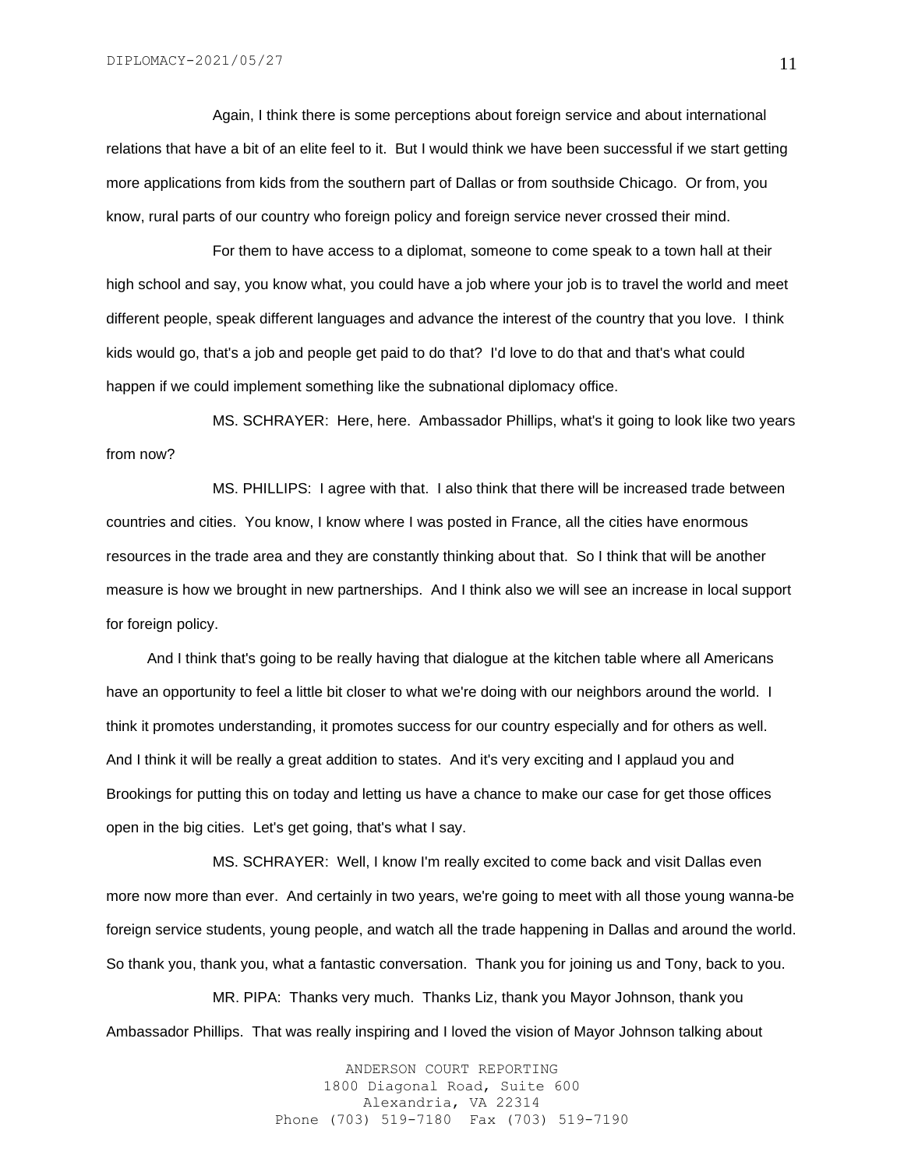Again, I think there is some perceptions about foreign service and about international relations that have a bit of an elite feel to it. But I would think we have been successful if we start getting more applications from kids from the southern part of Dallas or from southside Chicago. Or from, you know, rural parts of our country who foreign policy and foreign service never crossed their mind.

For them to have access to a diplomat, someone to come speak to a town hall at their high school and say, you know what, you could have a job where your job is to travel the world and meet different people, speak different languages and advance the interest of the country that you love. I think kids would go, that's a job and people get paid to do that? I'd love to do that and that's what could happen if we could implement something like the subnational diplomacy office.

MS. SCHRAYER: Here, here. Ambassador Phillips, what's it going to look like two years from now?

MS. PHILLIPS: I agree with that. I also think that there will be increased trade between countries and cities. You know, I know where I was posted in France, all the cities have enormous resources in the trade area and they are constantly thinking about that. So I think that will be another measure is how we brought in new partnerships. And I think also we will see an increase in local support for foreign policy.

 And I think that's going to be really having that dialogue at the kitchen table where all Americans have an opportunity to feel a little bit closer to what we're doing with our neighbors around the world. I think it promotes understanding, it promotes success for our country especially and for others as well. And I think it will be really a great addition to states. And it's very exciting and I applaud you and Brookings for putting this on today and letting us have a chance to make our case for get those offices open in the big cities. Let's get going, that's what I say.

MS. SCHRAYER: Well, I know I'm really excited to come back and visit Dallas even more now more than ever. And certainly in two years, we're going to meet with all those young wanna-be foreign service students, young people, and watch all the trade happening in Dallas and around the world. So thank you, thank you, what a fantastic conversation. Thank you for joining us and Tony, back to you.

MR. PIPA: Thanks very much. Thanks Liz, thank you Mayor Johnson, thank you Ambassador Phillips. That was really inspiring and I loved the vision of Mayor Johnson talking about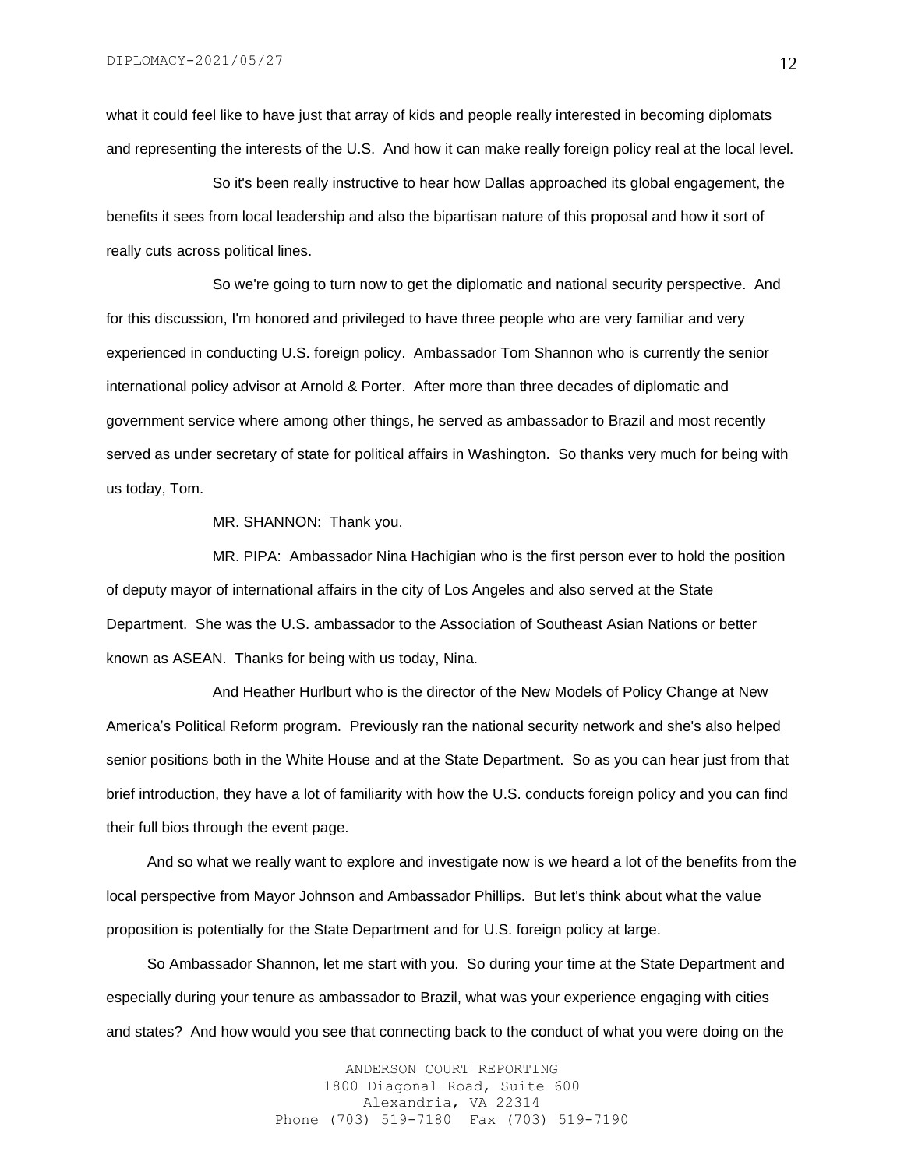what it could feel like to have just that array of kids and people really interested in becoming diplomats and representing the interests of the U.S. And how it can make really foreign policy real at the local level.

So it's been really instructive to hear how Dallas approached its global engagement, the benefits it sees from local leadership and also the bipartisan nature of this proposal and how it sort of really cuts across political lines.

So we're going to turn now to get the diplomatic and national security perspective. And for this discussion, I'm honored and privileged to have three people who are very familiar and very experienced in conducting U.S. foreign policy. Ambassador Tom Shannon who is currently the senior international policy advisor at Arnold & Porter. After more than three decades of diplomatic and government service where among other things, he served as ambassador to Brazil and most recently served as under secretary of state for political affairs in Washington. So thanks very much for being with us today, Tom.

MR. SHANNON: Thank you.

MR. PIPA: Ambassador Nina Hachigian who is the first person ever to hold the position of deputy mayor of international affairs in the city of Los Angeles and also served at the State Department. She was the U.S. ambassador to the Association of Southeast Asian Nations or better known as ASEAN. Thanks for being with us today, Nina.

And Heather Hurlburt who is the director of the New Models of Policy Change at New America's Political Reform program. Previously ran the national security network and she's also helped senior positions both in the White House and at the State Department. So as you can hear just from that brief introduction, they have a lot of familiarity with how the U.S. conducts foreign policy and you can find their full bios through the event page.

 And so what we really want to explore and investigate now is we heard a lot of the benefits from the local perspective from Mayor Johnson and Ambassador Phillips. But let's think about what the value proposition is potentially for the State Department and for U.S. foreign policy at large.

 So Ambassador Shannon, let me start with you. So during your time at the State Department and especially during your tenure as ambassador to Brazil, what was your experience engaging with cities and states? And how would you see that connecting back to the conduct of what you were doing on the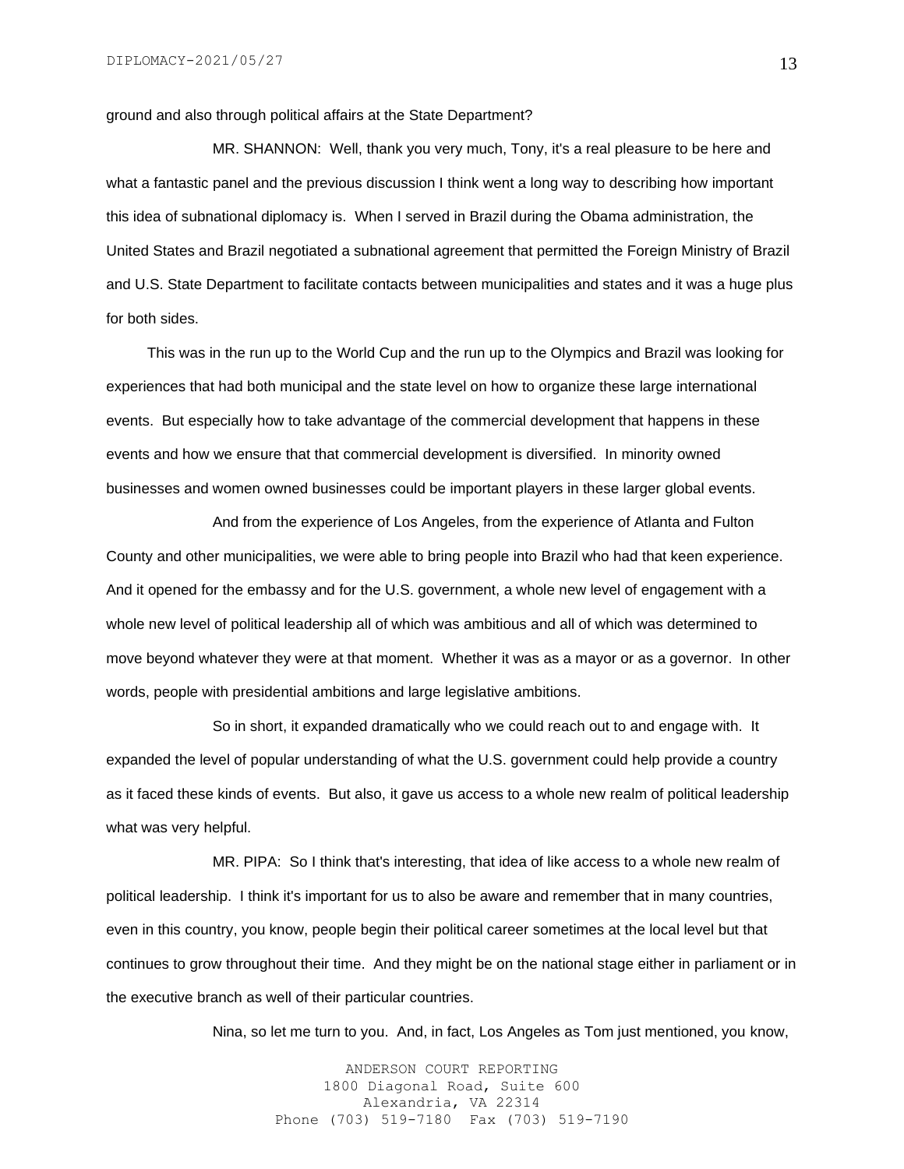ground and also through political affairs at the State Department?

MR. SHANNON: Well, thank you very much, Tony, it's a real pleasure to be here and what a fantastic panel and the previous discussion I think went a long way to describing how important this idea of subnational diplomacy is. When I served in Brazil during the Obama administration, the United States and Brazil negotiated a subnational agreement that permitted the Foreign Ministry of Brazil and U.S. State Department to facilitate contacts between municipalities and states and it was a huge plus for both sides.

 This was in the run up to the World Cup and the run up to the Olympics and Brazil was looking for experiences that had both municipal and the state level on how to organize these large international events. But especially how to take advantage of the commercial development that happens in these events and how we ensure that that commercial development is diversified. In minority owned businesses and women owned businesses could be important players in these larger global events.

And from the experience of Los Angeles, from the experience of Atlanta and Fulton County and other municipalities, we were able to bring people into Brazil who had that keen experience. And it opened for the embassy and for the U.S. government, a whole new level of engagement with a whole new level of political leadership all of which was ambitious and all of which was determined to move beyond whatever they were at that moment. Whether it was as a mayor or as a governor. In other words, people with presidential ambitions and large legislative ambitions.

So in short, it expanded dramatically who we could reach out to and engage with. It expanded the level of popular understanding of what the U.S. government could help provide a country as it faced these kinds of events. But also, it gave us access to a whole new realm of political leadership what was very helpful.

MR. PIPA: So I think that's interesting, that idea of like access to a whole new realm of political leadership. I think it's important for us to also be aware and remember that in many countries, even in this country, you know, people begin their political career sometimes at the local level but that continues to grow throughout their time. And they might be on the national stage either in parliament or in the executive branch as well of their particular countries.

Nina, so let me turn to you. And, in fact, Los Angeles as Tom just mentioned, you know,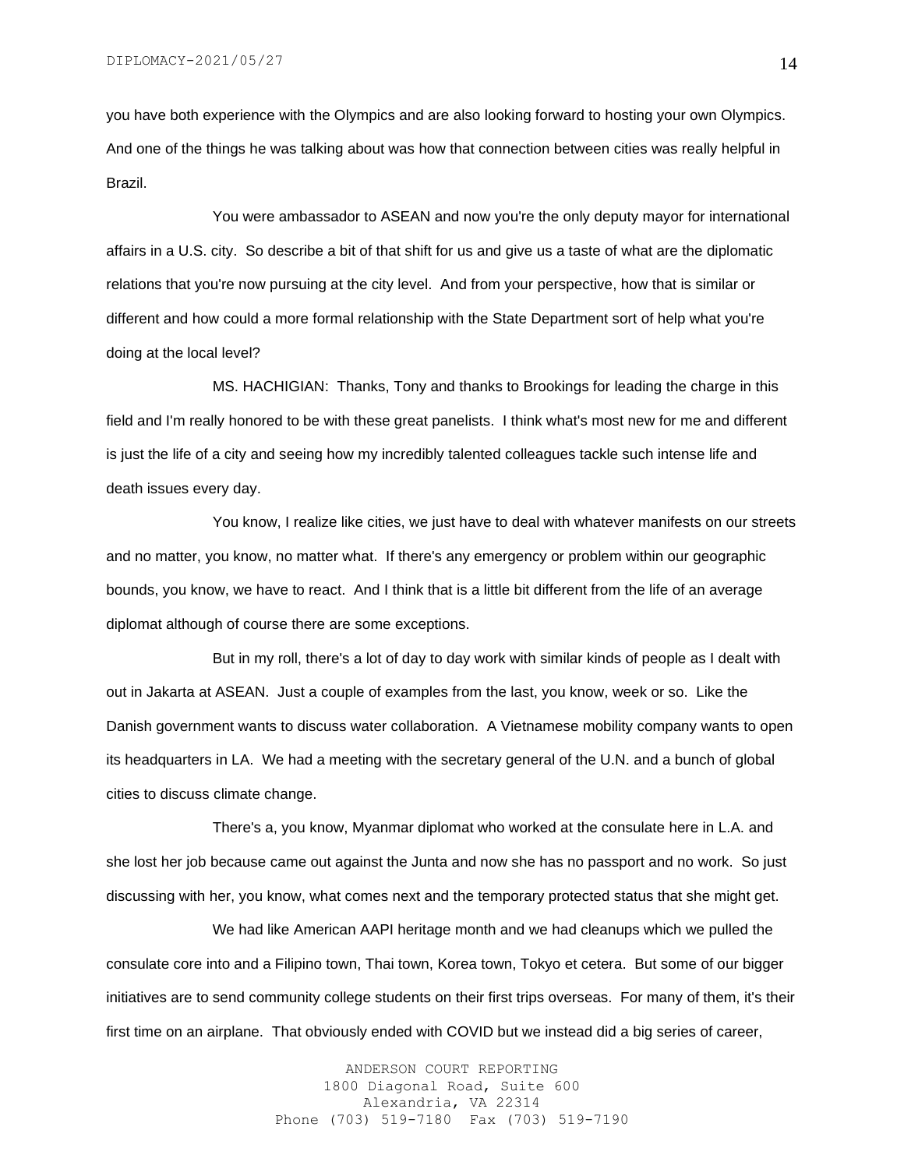you have both experience with the Olympics and are also looking forward to hosting your own Olympics. And one of the things he was talking about was how that connection between cities was really helpful in Brazil.

You were ambassador to ASEAN and now you're the only deputy mayor for international affairs in a U.S. city. So describe a bit of that shift for us and give us a taste of what are the diplomatic relations that you're now pursuing at the city level. And from your perspective, how that is similar or different and how could a more formal relationship with the State Department sort of help what you're doing at the local level?

MS. HACHIGIAN: Thanks, Tony and thanks to Brookings for leading the charge in this field and I'm really honored to be with these great panelists. I think what's most new for me and different is just the life of a city and seeing how my incredibly talented colleagues tackle such intense life and death issues every day.

You know, I realize like cities, we just have to deal with whatever manifests on our streets and no matter, you know, no matter what. If there's any emergency or problem within our geographic bounds, you know, we have to react. And I think that is a little bit different from the life of an average diplomat although of course there are some exceptions.

But in my roll, there's a lot of day to day work with similar kinds of people as I dealt with out in Jakarta at ASEAN. Just a couple of examples from the last, you know, week or so. Like the Danish government wants to discuss water collaboration. A Vietnamese mobility company wants to open its headquarters in LA. We had a meeting with the secretary general of the U.N. and a bunch of global cities to discuss climate change.

There's a, you know, Myanmar diplomat who worked at the consulate here in L.A. and she lost her job because came out against the Junta and now she has no passport and no work. So just discussing with her, you know, what comes next and the temporary protected status that she might get.

We had like American AAPI heritage month and we had cleanups which we pulled the consulate core into and a Filipino town, Thai town, Korea town, Tokyo et cetera. But some of our bigger initiatives are to send community college students on their first trips overseas. For many of them, it's their first time on an airplane. That obviously ended with COVID but we instead did a big series of career,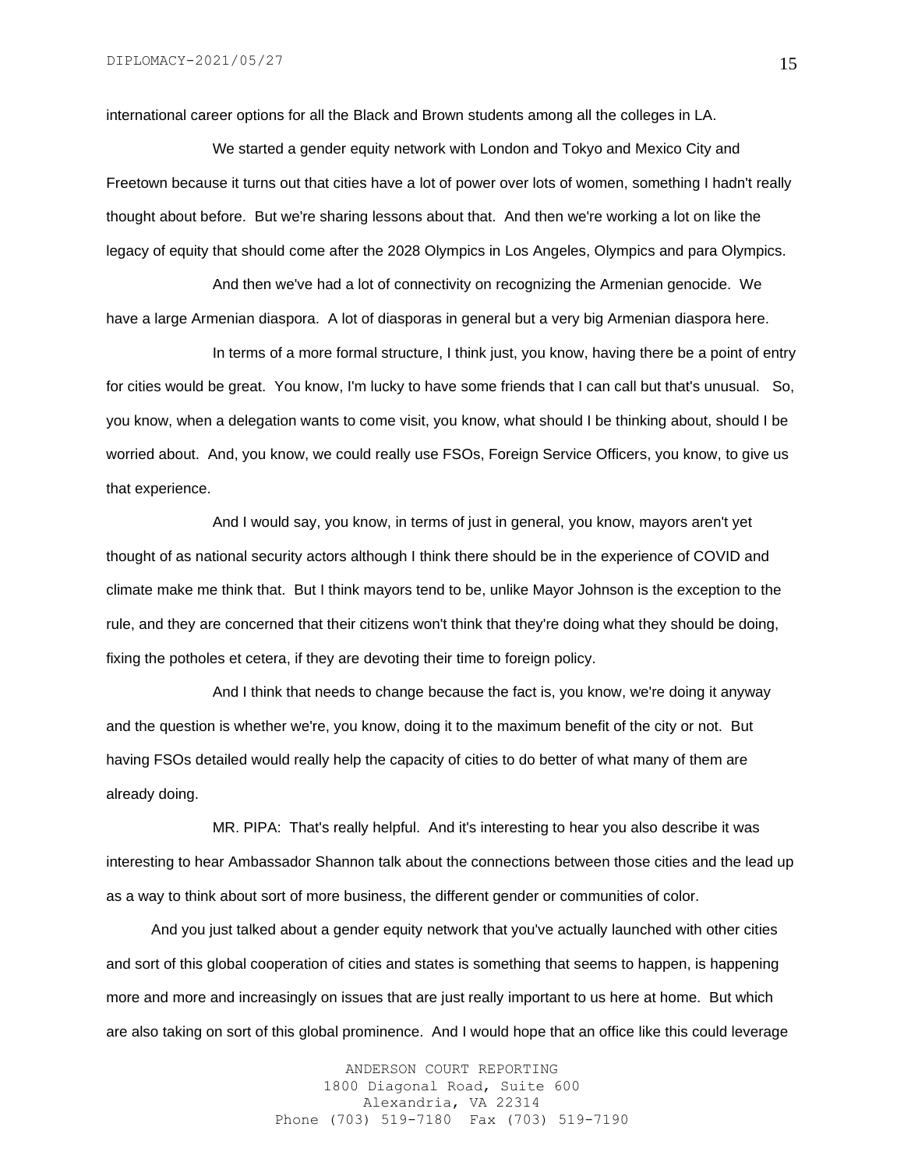international career options for all the Black and Brown students among all the colleges in LA.

We started a gender equity network with London and Tokyo and Mexico City and Freetown because it turns out that cities have a lot of power over lots of women, something I hadn't really thought about before. But we're sharing lessons about that. And then we're working a lot on like the legacy of equity that should come after the 2028 Olympics in Los Angeles, Olympics and para Olympics.

And then we've had a lot of connectivity on recognizing the Armenian genocide. We have a large Armenian diaspora. A lot of diasporas in general but a very big Armenian diaspora here.

In terms of a more formal structure, I think just, you know, having there be a point of entry for cities would be great. You know, I'm lucky to have some friends that I can call but that's unusual. So, you know, when a delegation wants to come visit, you know, what should I be thinking about, should I be worried about. And, you know, we could really use FSOs, Foreign Service Officers, you know, to give us that experience.

And I would say, you know, in terms of just in general, you know, mayors aren't yet thought of as national security actors although I think there should be in the experience of COVID and climate make me think that. But I think mayors tend to be, unlike Mayor Johnson is the exception to the rule, and they are concerned that their citizens won't think that they're doing what they should be doing, fixing the potholes et cetera, if they are devoting their time to foreign policy.

And I think that needs to change because the fact is, you know, we're doing it anyway and the question is whether we're, you know, doing it to the maximum benefit of the city or not. But having FSOs detailed would really help the capacity of cities to do better of what many of them are already doing.

MR. PIPA: That's really helpful. And it's interesting to hear you also describe it was interesting to hear Ambassador Shannon talk about the connections between those cities and the lead up as a way to think about sort of more business, the different gender or communities of color.

 And you just talked about a gender equity network that you've actually launched with other cities and sort of this global cooperation of cities and states is something that seems to happen, is happening more and more and increasingly on issues that are just really important to us here at home. But which are also taking on sort of this global prominence. And I would hope that an office like this could leverage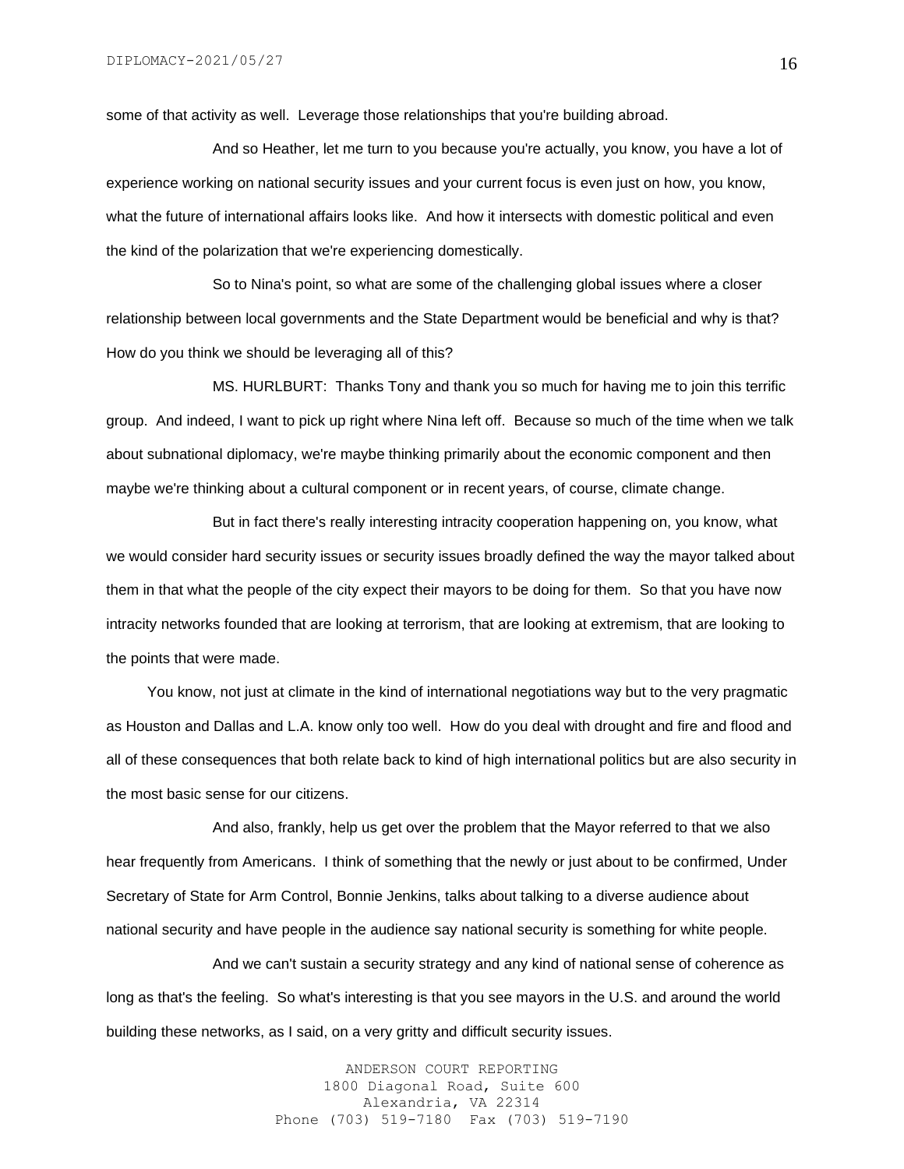some of that activity as well. Leverage those relationships that you're building abroad.

And so Heather, let me turn to you because you're actually, you know, you have a lot of experience working on national security issues and your current focus is even just on how, you know, what the future of international affairs looks like. And how it intersects with domestic political and even the kind of the polarization that we're experiencing domestically.

So to Nina's point, so what are some of the challenging global issues where a closer relationship between local governments and the State Department would be beneficial and why is that? How do you think we should be leveraging all of this?

MS. HURLBURT: Thanks Tony and thank you so much for having me to join this terrific group. And indeed, I want to pick up right where Nina left off. Because so much of the time when we talk about subnational diplomacy, we're maybe thinking primarily about the economic component and then maybe we're thinking about a cultural component or in recent years, of course, climate change.

But in fact there's really interesting intracity cooperation happening on, you know, what we would consider hard security issues or security issues broadly defined the way the mayor talked about them in that what the people of the city expect their mayors to be doing for them. So that you have now intracity networks founded that are looking at terrorism, that are looking at extremism, that are looking to the points that were made.

 You know, not just at climate in the kind of international negotiations way but to the very pragmatic as Houston and Dallas and L.A. know only too well. How do you deal with drought and fire and flood and all of these consequences that both relate back to kind of high international politics but are also security in the most basic sense for our citizens.

And also, frankly, help us get over the problem that the Mayor referred to that we also hear frequently from Americans. I think of something that the newly or just about to be confirmed, Under Secretary of State for Arm Control, Bonnie Jenkins, talks about talking to a diverse audience about national security and have people in the audience say national security is something for white people.

And we can't sustain a security strategy and any kind of national sense of coherence as long as that's the feeling. So what's interesting is that you see mayors in the U.S. and around the world building these networks, as I said, on a very gritty and difficult security issues.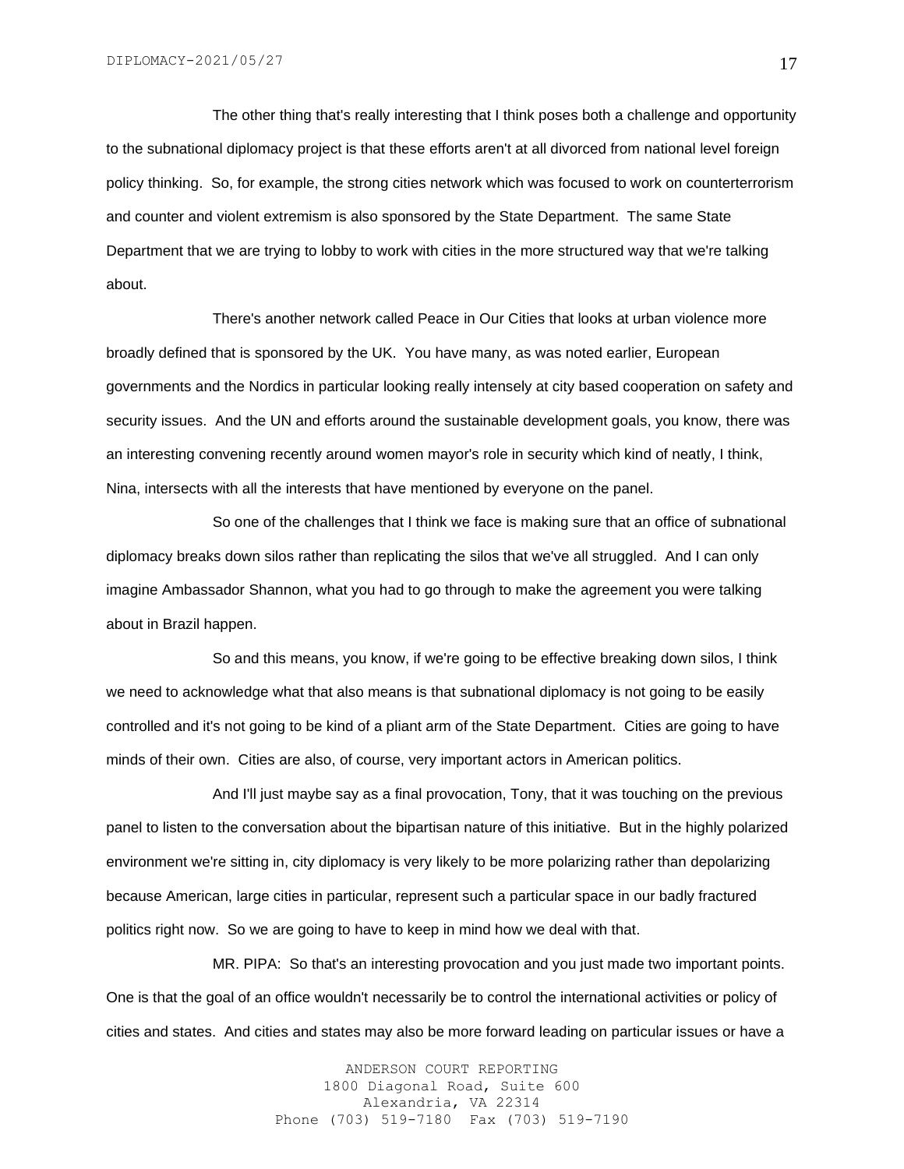The other thing that's really interesting that I think poses both a challenge and opportunity to the subnational diplomacy project is that these efforts aren't at all divorced from national level foreign policy thinking. So, for example, the strong cities network which was focused to work on counterterrorism and counter and violent extremism is also sponsored by the State Department. The same State Department that we are trying to lobby to work with cities in the more structured way that we're talking about.

There's another network called Peace in Our Cities that looks at urban violence more broadly defined that is sponsored by the UK. You have many, as was noted earlier, European governments and the Nordics in particular looking really intensely at city based cooperation on safety and security issues. And the UN and efforts around the sustainable development goals, you know, there was an interesting convening recently around women mayor's role in security which kind of neatly, I think, Nina, intersects with all the interests that have mentioned by everyone on the panel.

So one of the challenges that I think we face is making sure that an office of subnational diplomacy breaks down silos rather than replicating the silos that we've all struggled. And I can only imagine Ambassador Shannon, what you had to go through to make the agreement you were talking about in Brazil happen.

So and this means, you know, if we're going to be effective breaking down silos, I think we need to acknowledge what that also means is that subnational diplomacy is not going to be easily controlled and it's not going to be kind of a pliant arm of the State Department. Cities are going to have minds of their own. Cities are also, of course, very important actors in American politics.

And I'll just maybe say as a final provocation, Tony, that it was touching on the previous panel to listen to the conversation about the bipartisan nature of this initiative. But in the highly polarized environment we're sitting in, city diplomacy is very likely to be more polarizing rather than depolarizing because American, large cities in particular, represent such a particular space in our badly fractured politics right now. So we are going to have to keep in mind how we deal with that.

MR. PIPA: So that's an interesting provocation and you just made two important points. One is that the goal of an office wouldn't necessarily be to control the international activities or policy of cities and states. And cities and states may also be more forward leading on particular issues or have a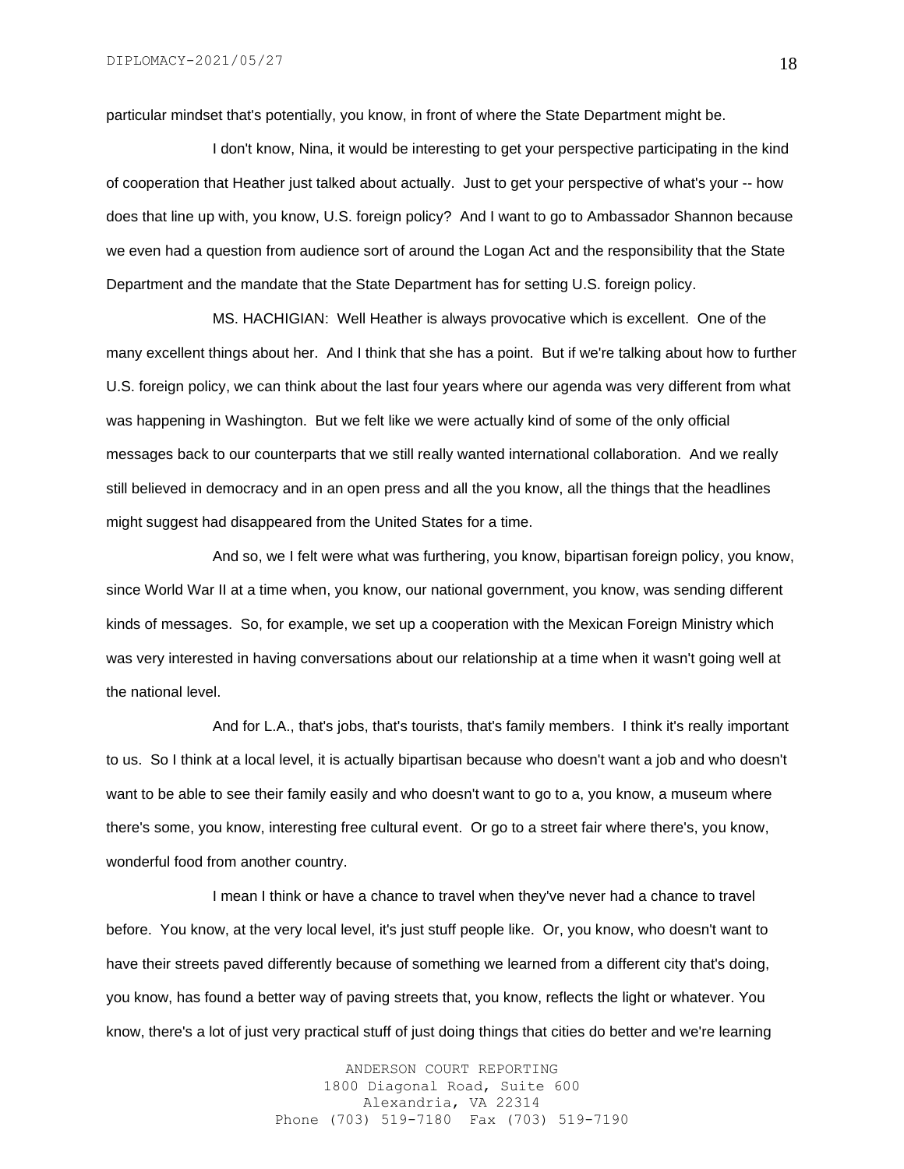particular mindset that's potentially, you know, in front of where the State Department might be.

I don't know, Nina, it would be interesting to get your perspective participating in the kind of cooperation that Heather just talked about actually. Just to get your perspective of what's your -- how does that line up with, you know, U.S. foreign policy? And I want to go to Ambassador Shannon because we even had a question from audience sort of around the Logan Act and the responsibility that the State Department and the mandate that the State Department has for setting U.S. foreign policy.

MS. HACHIGIAN: Well Heather is always provocative which is excellent. One of the many excellent things about her. And I think that she has a point. But if we're talking about how to further U.S. foreign policy, we can think about the last four years where our agenda was very different from what was happening in Washington. But we felt like we were actually kind of some of the only official messages back to our counterparts that we still really wanted international collaboration. And we really still believed in democracy and in an open press and all the you know, all the things that the headlines might suggest had disappeared from the United States for a time.

And so, we I felt were what was furthering, you know, bipartisan foreign policy, you know, since World War II at a time when, you know, our national government, you know, was sending different kinds of messages. So, for example, we set up a cooperation with the Mexican Foreign Ministry which was very interested in having conversations about our relationship at a time when it wasn't going well at the national level.

And for L.A., that's jobs, that's tourists, that's family members. I think it's really important to us. So I think at a local level, it is actually bipartisan because who doesn't want a job and who doesn't want to be able to see their family easily and who doesn't want to go to a, you know, a museum where there's some, you know, interesting free cultural event. Or go to a street fair where there's, you know, wonderful food from another country.

I mean I think or have a chance to travel when they've never had a chance to travel before. You know, at the very local level, it's just stuff people like. Or, you know, who doesn't want to have their streets paved differently because of something we learned from a different city that's doing, you know, has found a better way of paving streets that, you know, reflects the light or whatever. You know, there's a lot of just very practical stuff of just doing things that cities do better and we're learning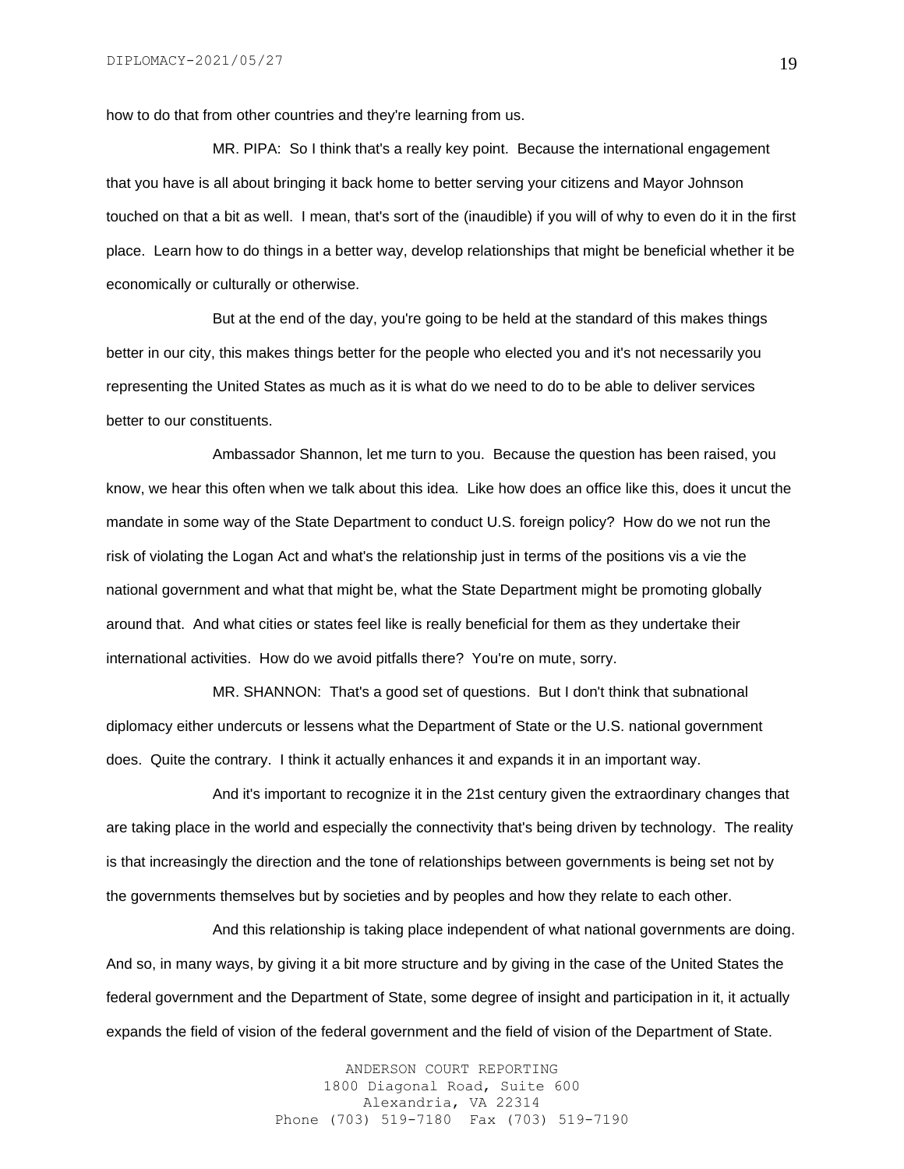how to do that from other countries and they're learning from us.

MR. PIPA: So I think that's a really key point. Because the international engagement that you have is all about bringing it back home to better serving your citizens and Mayor Johnson touched on that a bit as well. I mean, that's sort of the (inaudible) if you will of why to even do it in the first place. Learn how to do things in a better way, develop relationships that might be beneficial whether it be economically or culturally or otherwise.

But at the end of the day, you're going to be held at the standard of this makes things better in our city, this makes things better for the people who elected you and it's not necessarily you representing the United States as much as it is what do we need to do to be able to deliver services better to our constituents.

Ambassador Shannon, let me turn to you. Because the question has been raised, you know, we hear this often when we talk about this idea. Like how does an office like this, does it uncut the mandate in some way of the State Department to conduct U.S. foreign policy? How do we not run the risk of violating the Logan Act and what's the relationship just in terms of the positions vis a vie the national government and what that might be, what the State Department might be promoting globally around that. And what cities or states feel like is really beneficial for them as they undertake their international activities. How do we avoid pitfalls there? You're on mute, sorry.

MR. SHANNON: That's a good set of questions. But I don't think that subnational diplomacy either undercuts or lessens what the Department of State or the U.S. national government does. Quite the contrary. I think it actually enhances it and expands it in an important way.

And it's important to recognize it in the 21st century given the extraordinary changes that are taking place in the world and especially the connectivity that's being driven by technology. The reality is that increasingly the direction and the tone of relationships between governments is being set not by the governments themselves but by societies and by peoples and how they relate to each other.

And this relationship is taking place independent of what national governments are doing. And so, in many ways, by giving it a bit more structure and by giving in the case of the United States the federal government and the Department of State, some degree of insight and participation in it, it actually expands the field of vision of the federal government and the field of vision of the Department of State.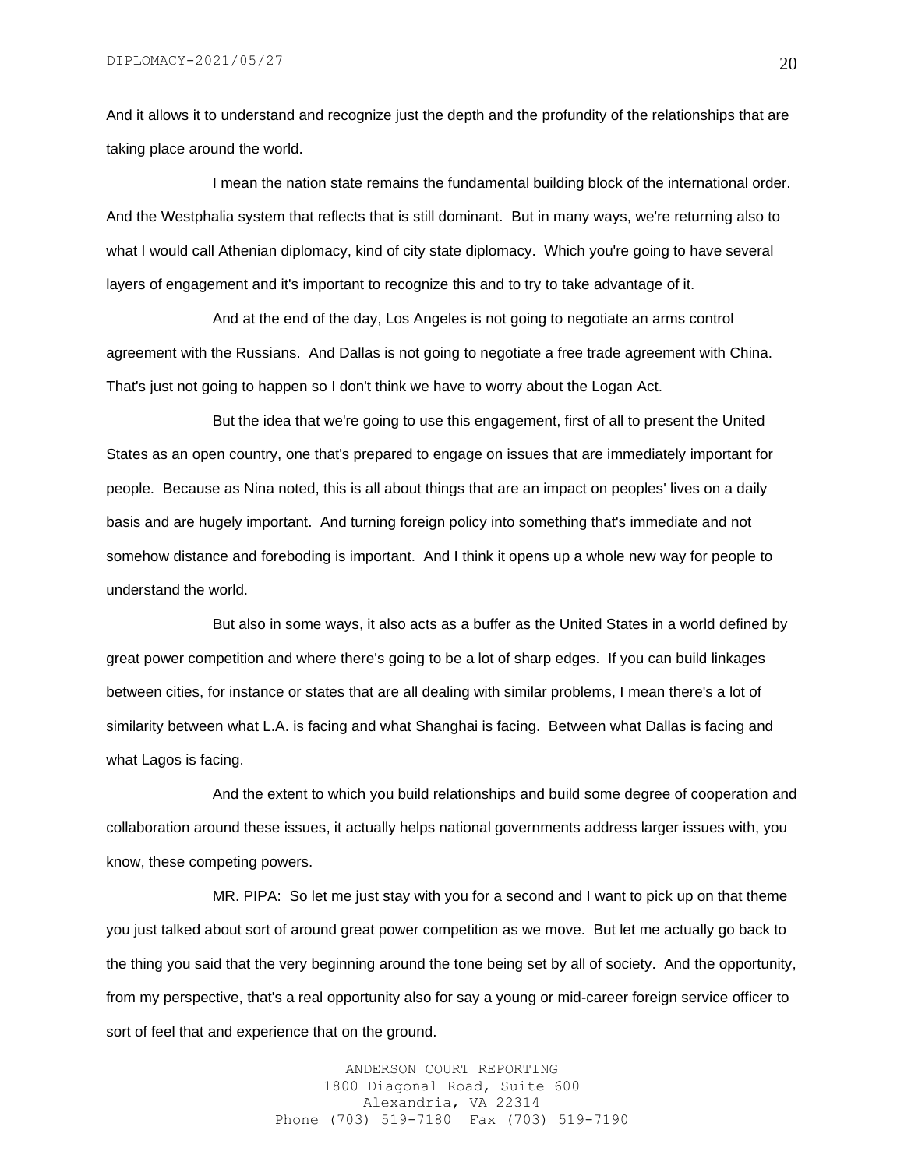And it allows it to understand and recognize just the depth and the profundity of the relationships that are taking place around the world.

I mean the nation state remains the fundamental building block of the international order. And the Westphalia system that reflects that is still dominant. But in many ways, we're returning also to what I would call Athenian diplomacy, kind of city state diplomacy. Which you're going to have several layers of engagement and it's important to recognize this and to try to take advantage of it.

And at the end of the day, Los Angeles is not going to negotiate an arms control agreement with the Russians. And Dallas is not going to negotiate a free trade agreement with China. That's just not going to happen so I don't think we have to worry about the Logan Act.

But the idea that we're going to use this engagement, first of all to present the United States as an open country, one that's prepared to engage on issues that are immediately important for people. Because as Nina noted, this is all about things that are an impact on peoples' lives on a daily basis and are hugely important. And turning foreign policy into something that's immediate and not somehow distance and foreboding is important. And I think it opens up a whole new way for people to understand the world.

But also in some ways, it also acts as a buffer as the United States in a world defined by great power competition and where there's going to be a lot of sharp edges. If you can build linkages between cities, for instance or states that are all dealing with similar problems, I mean there's a lot of similarity between what L.A. is facing and what Shanghai is facing. Between what Dallas is facing and what Lagos is facing.

And the extent to which you build relationships and build some degree of cooperation and collaboration around these issues, it actually helps national governments address larger issues with, you know, these competing powers.

MR. PIPA: So let me just stay with you for a second and I want to pick up on that theme you just talked about sort of around great power competition as we move. But let me actually go back to the thing you said that the very beginning around the tone being set by all of society. And the opportunity, from my perspective, that's a real opportunity also for say a young or mid-career foreign service officer to sort of feel that and experience that on the ground.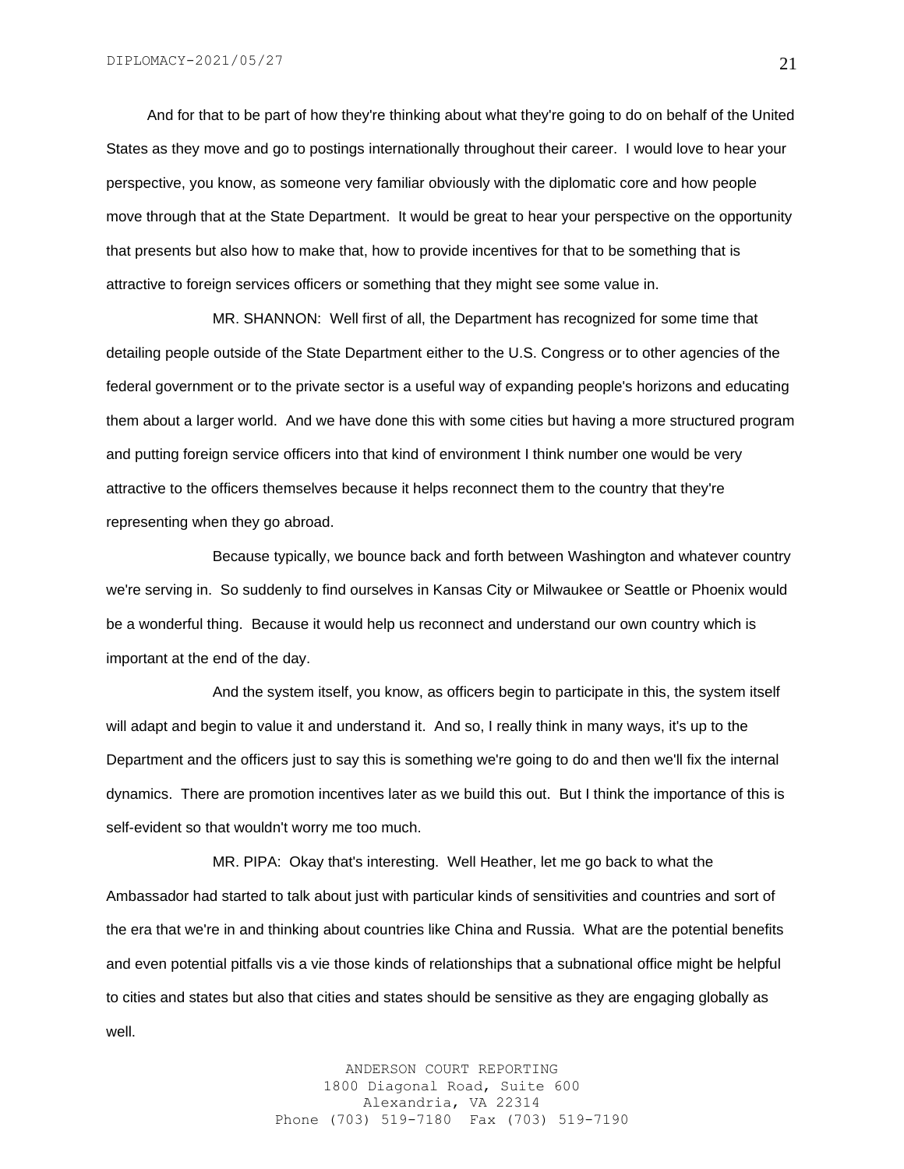And for that to be part of how they're thinking about what they're going to do on behalf of the United States as they move and go to postings internationally throughout their career. I would love to hear your perspective, you know, as someone very familiar obviously with the diplomatic core and how people move through that at the State Department. It would be great to hear your perspective on the opportunity that presents but also how to make that, how to provide incentives for that to be something that is attractive to foreign services officers or something that they might see some value in.

MR. SHANNON: Well first of all, the Department has recognized for some time that detailing people outside of the State Department either to the U.S. Congress or to other agencies of the federal government or to the private sector is a useful way of expanding people's horizons and educating them about a larger world. And we have done this with some cities but having a more structured program and putting foreign service officers into that kind of environment I think number one would be very attractive to the officers themselves because it helps reconnect them to the country that they're representing when they go abroad.

Because typically, we bounce back and forth between Washington and whatever country we're serving in. So suddenly to find ourselves in Kansas City or Milwaukee or Seattle or Phoenix would be a wonderful thing. Because it would help us reconnect and understand our own country which is important at the end of the day.

And the system itself, you know, as officers begin to participate in this, the system itself will adapt and begin to value it and understand it. And so, I really think in many ways, it's up to the Department and the officers just to say this is something we're going to do and then we'll fix the internal dynamics. There are promotion incentives later as we build this out. But I think the importance of this is self-evident so that wouldn't worry me too much.

MR. PIPA: Okay that's interesting. Well Heather, let me go back to what the Ambassador had started to talk about just with particular kinds of sensitivities and countries and sort of the era that we're in and thinking about countries like China and Russia. What are the potential benefits and even potential pitfalls vis a vie those kinds of relationships that a subnational office might be helpful to cities and states but also that cities and states should be sensitive as they are engaging globally as well.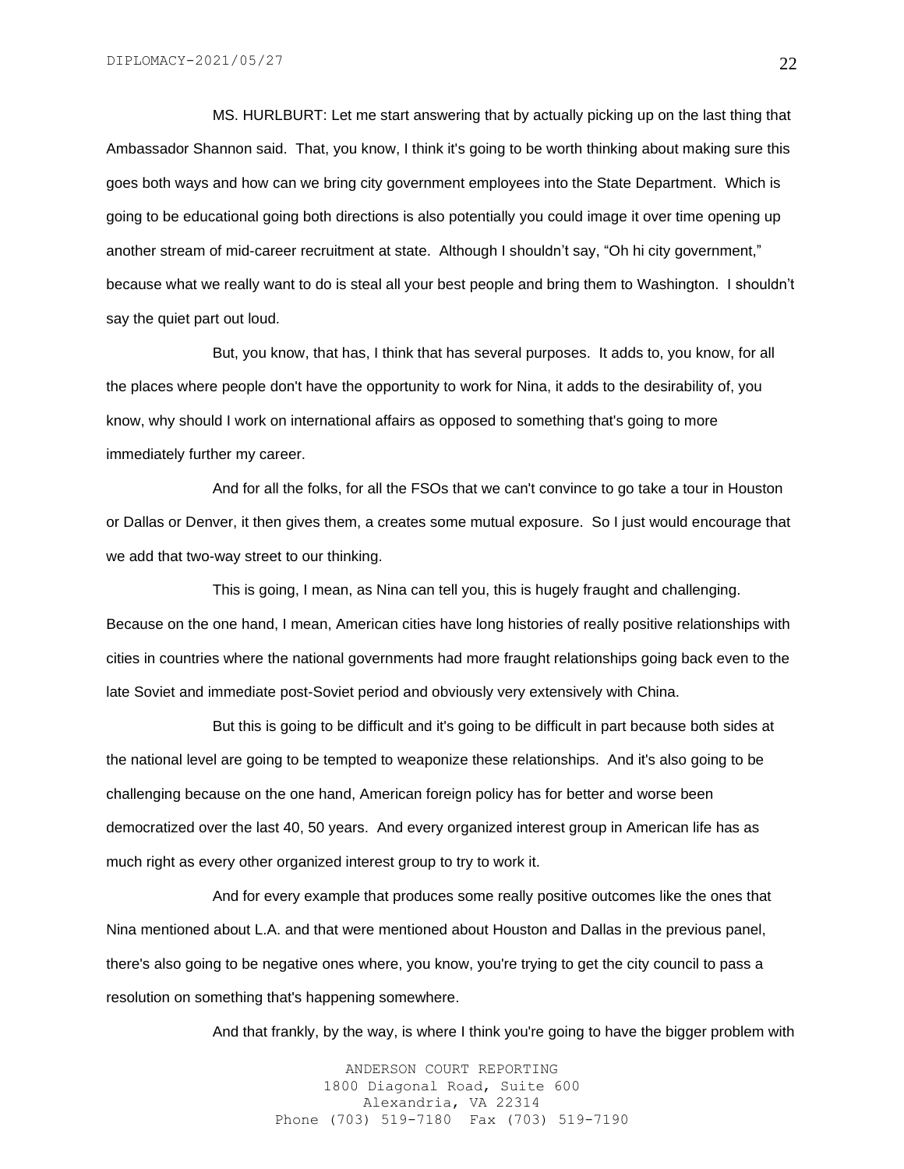MS. HURLBURT: Let me start answering that by actually picking up on the last thing that Ambassador Shannon said. That, you know, I think it's going to be worth thinking about making sure this goes both ways and how can we bring city government employees into the State Department. Which is going to be educational going both directions is also potentially you could image it over time opening up another stream of mid-career recruitment at state. Although I shouldn't say, "Oh hi city government," because what we really want to do is steal all your best people and bring them to Washington. I shouldn't say the quiet part out loud.

But, you know, that has, I think that has several purposes. It adds to, you know, for all the places where people don't have the opportunity to work for Nina, it adds to the desirability of, you know, why should I work on international affairs as opposed to something that's going to more immediately further my career.

And for all the folks, for all the FSOs that we can't convince to go take a tour in Houston or Dallas or Denver, it then gives them, a creates some mutual exposure. So I just would encourage that we add that two-way street to our thinking.

This is going, I mean, as Nina can tell you, this is hugely fraught and challenging. Because on the one hand, I mean, American cities have long histories of really positive relationships with cities in countries where the national governments had more fraught relationships going back even to the late Soviet and immediate post-Soviet period and obviously very extensively with China.

But this is going to be difficult and it's going to be difficult in part because both sides at the national level are going to be tempted to weaponize these relationships. And it's also going to be challenging because on the one hand, American foreign policy has for better and worse been democratized over the last 40, 50 years. And every organized interest group in American life has as much right as every other organized interest group to try to work it.

And for every example that produces some really positive outcomes like the ones that Nina mentioned about L.A. and that were mentioned about Houston and Dallas in the previous panel, there's also going to be negative ones where, you know, you're trying to get the city council to pass a resolution on something that's happening somewhere.

And that frankly, by the way, is where I think you're going to have the bigger problem with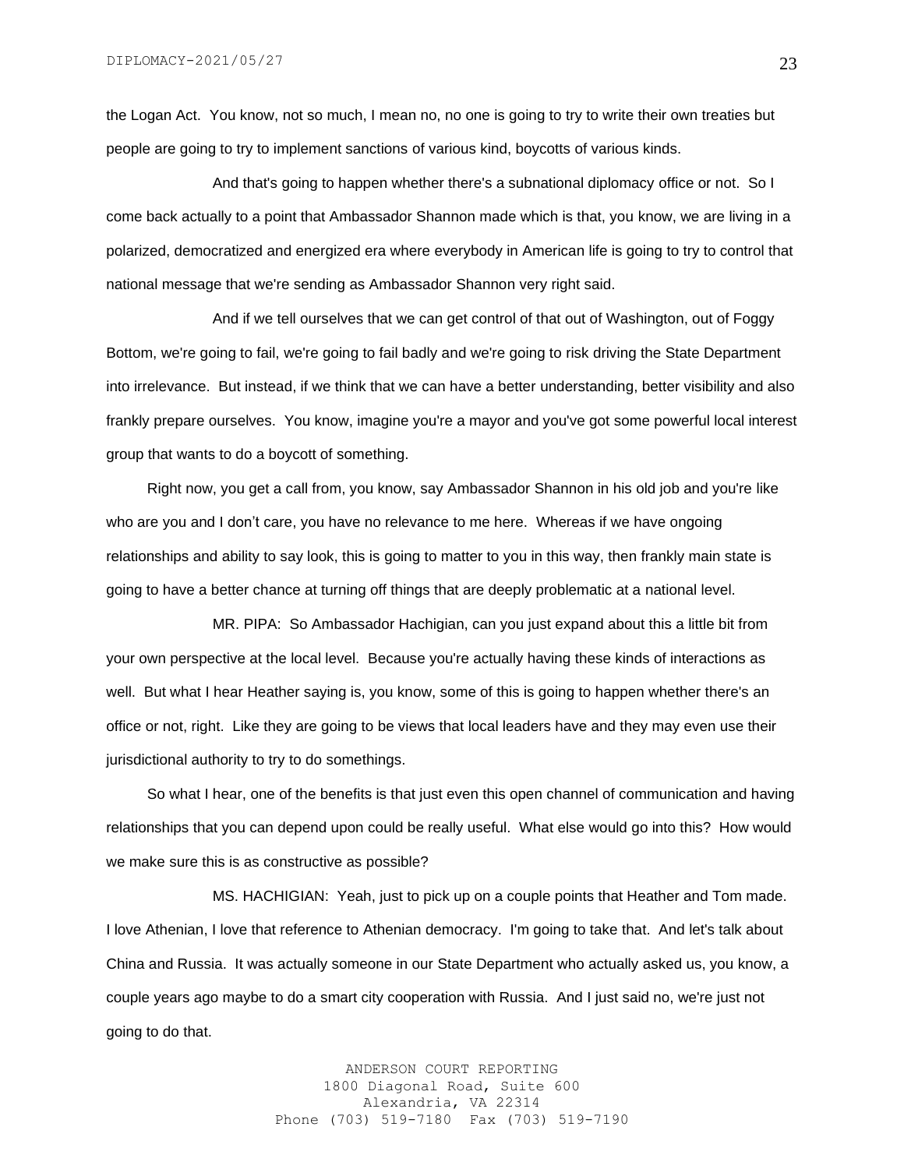the Logan Act. You know, not so much, I mean no, no one is going to try to write their own treaties but people are going to try to implement sanctions of various kind, boycotts of various kinds.

And that's going to happen whether there's a subnational diplomacy office or not. So I come back actually to a point that Ambassador Shannon made which is that, you know, we are living in a polarized, democratized and energized era where everybody in American life is going to try to control that national message that we're sending as Ambassador Shannon very right said.

And if we tell ourselves that we can get control of that out of Washington, out of Foggy Bottom, we're going to fail, we're going to fail badly and we're going to risk driving the State Department into irrelevance. But instead, if we think that we can have a better understanding, better visibility and also frankly prepare ourselves. You know, imagine you're a mayor and you've got some powerful local interest group that wants to do a boycott of something.

 Right now, you get a call from, you know, say Ambassador Shannon in his old job and you're like who are you and I don't care, you have no relevance to me here. Whereas if we have ongoing relationships and ability to say look, this is going to matter to you in this way, then frankly main state is going to have a better chance at turning off things that are deeply problematic at a national level.

MR. PIPA: So Ambassador Hachigian, can you just expand about this a little bit from your own perspective at the local level. Because you're actually having these kinds of interactions as well. But what I hear Heather saying is, you know, some of this is going to happen whether there's an office or not, right. Like they are going to be views that local leaders have and they may even use their jurisdictional authority to try to do somethings.

 So what I hear, one of the benefits is that just even this open channel of communication and having relationships that you can depend upon could be really useful. What else would go into this? How would we make sure this is as constructive as possible?

MS. HACHIGIAN: Yeah, just to pick up on a couple points that Heather and Tom made. I love Athenian, I love that reference to Athenian democracy. I'm going to take that. And let's talk about China and Russia. It was actually someone in our State Department who actually asked us, you know, a couple years ago maybe to do a smart city cooperation with Russia. And I just said no, we're just not going to do that.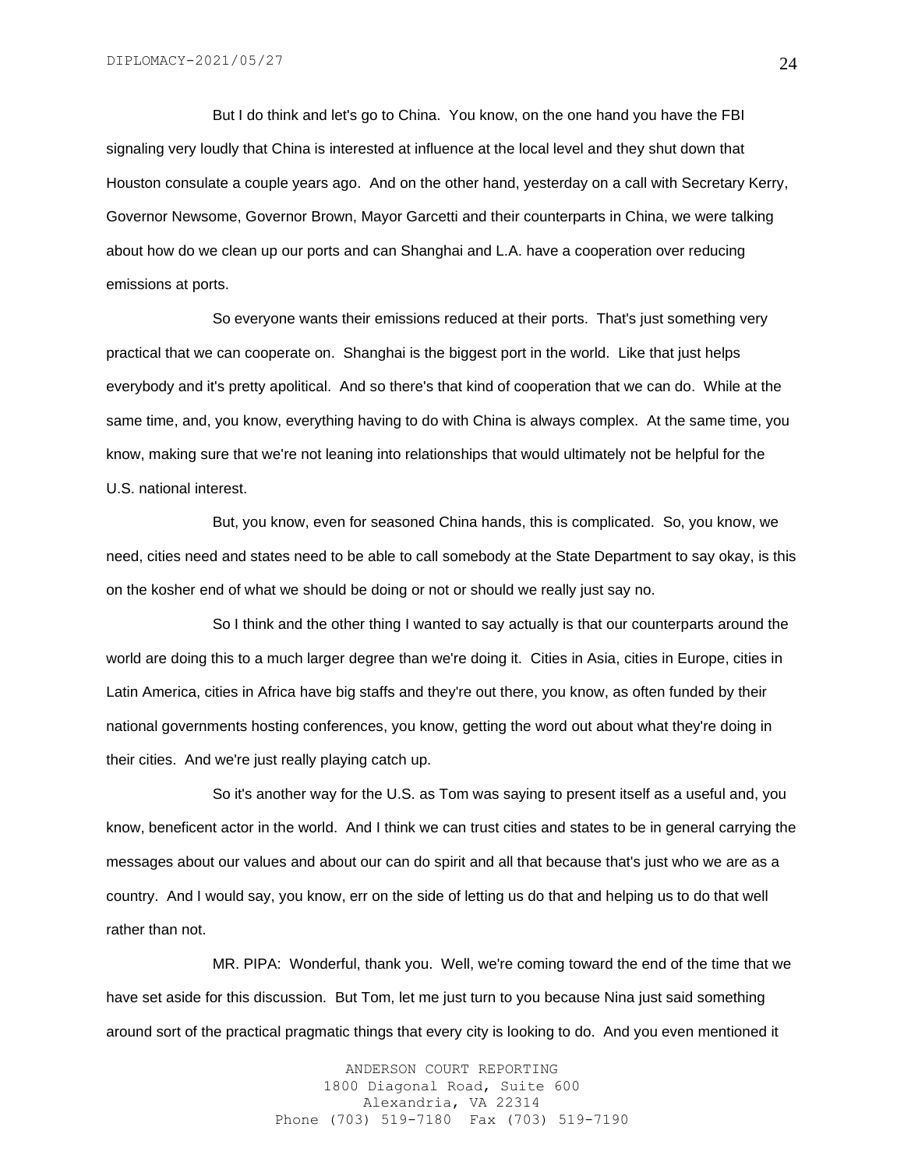But I do think and let's go to China. You know, on the one hand you have the FBI signaling very loudly that China is interested at influence at the local level and they shut down that Houston consulate a couple years ago. And on the other hand, yesterday on a call with Secretary Kerry, Governor Newsome, Governor Brown, Mayor Garcetti and their counterparts in China, we were talking about how do we clean up our ports and can Shanghai and L.A. have a cooperation over reducing emissions at ports.

So everyone wants their emissions reduced at their ports. That's just something very practical that we can cooperate on. Shanghai is the biggest port in the world. Like that just helps everybody and it's pretty apolitical. And so there's that kind of cooperation that we can do. While at the same time, and, you know, everything having to do with China is always complex. At the same time, you know, making sure that we're not leaning into relationships that would ultimately not be helpful for the U.S. national interest.

But, you know, even for seasoned China hands, this is complicated. So, you know, we need, cities need and states need to be able to call somebody at the State Department to say okay, is this on the kosher end of what we should be doing or not or should we really just say no.

So I think and the other thing I wanted to say actually is that our counterparts around the world are doing this to a much larger degree than we're doing it. Cities in Asia, cities in Europe, cities in Latin America, cities in Africa have big staffs and they're out there, you know, as often funded by their national governments hosting conferences, you know, getting the word out about what they're doing in their cities. And we're just really playing catch up.

So it's another way for the U.S. as Tom was saying to present itself as a useful and, you know, beneficent actor in the world. And I think we can trust cities and states to be in general carrying the messages about our values and about our can do spirit and all that because that's just who we are as a country. And I would say, you know, err on the side of letting us do that and helping us to do that well rather than not.

MR. PIPA: Wonderful, thank you. Well, we're coming toward the end of the time that we have set aside for this discussion. But Tom, let me just turn to you because Nina just said something around sort of the practical pragmatic things that every city is looking to do. And you even mentioned it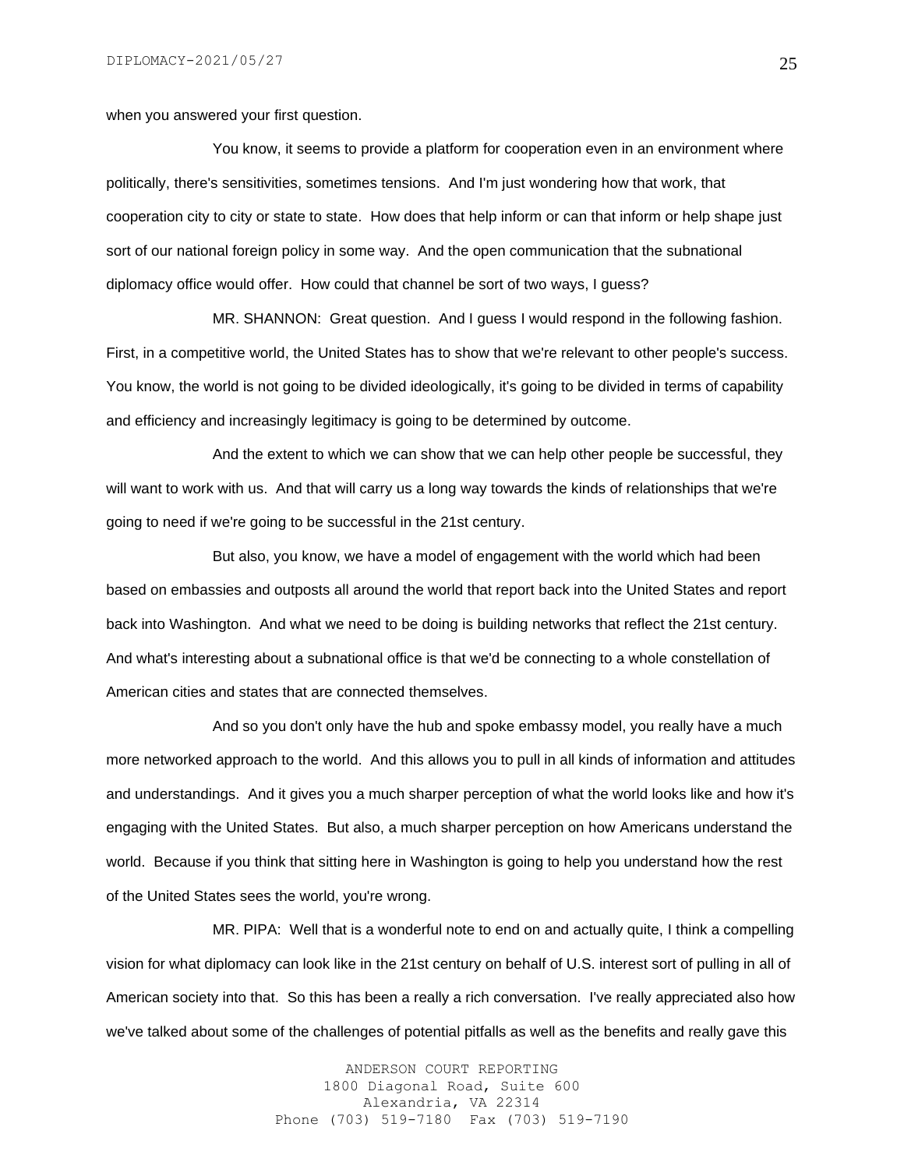when you answered your first question.

You know, it seems to provide a platform for cooperation even in an environment where politically, there's sensitivities, sometimes tensions. And I'm just wondering how that work, that cooperation city to city or state to state. How does that help inform or can that inform or help shape just sort of our national foreign policy in some way. And the open communication that the subnational diplomacy office would offer. How could that channel be sort of two ways, I guess?

MR. SHANNON: Great question. And I guess I would respond in the following fashion. First, in a competitive world, the United States has to show that we're relevant to other people's success. You know, the world is not going to be divided ideologically, it's going to be divided in terms of capability and efficiency and increasingly legitimacy is going to be determined by outcome.

And the extent to which we can show that we can help other people be successful, they will want to work with us. And that will carry us a long way towards the kinds of relationships that we're going to need if we're going to be successful in the 21st century.

But also, you know, we have a model of engagement with the world which had been based on embassies and outposts all around the world that report back into the United States and report back into Washington. And what we need to be doing is building networks that reflect the 21st century. And what's interesting about a subnational office is that we'd be connecting to a whole constellation of American cities and states that are connected themselves.

And so you don't only have the hub and spoke embassy model, you really have a much more networked approach to the world. And this allows you to pull in all kinds of information and attitudes and understandings. And it gives you a much sharper perception of what the world looks like and how it's engaging with the United States. But also, a much sharper perception on how Americans understand the world. Because if you think that sitting here in Washington is going to help you understand how the rest of the United States sees the world, you're wrong.

MR. PIPA: Well that is a wonderful note to end on and actually quite, I think a compelling vision for what diplomacy can look like in the 21st century on behalf of U.S. interest sort of pulling in all of American society into that. So this has been a really a rich conversation. I've really appreciated also how we've talked about some of the challenges of potential pitfalls as well as the benefits and really gave this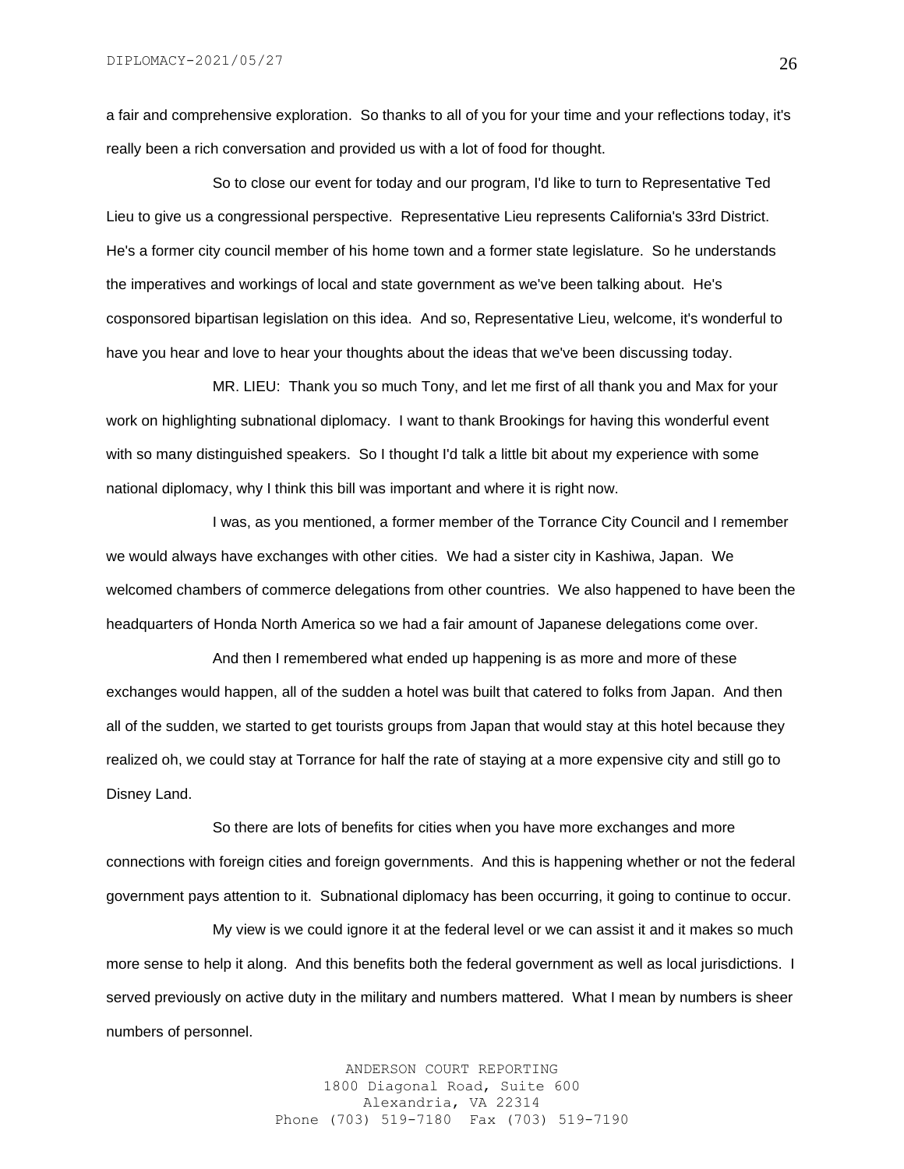a fair and comprehensive exploration. So thanks to all of you for your time and your reflections today, it's really been a rich conversation and provided us with a lot of food for thought.

So to close our event for today and our program, I'd like to turn to Representative Ted Lieu to give us a congressional perspective. Representative Lieu represents California's 33rd District. He's a former city council member of his home town and a former state legislature. So he understands the imperatives and workings of local and state government as we've been talking about. He's cosponsored bipartisan legislation on this idea. And so, Representative Lieu, welcome, it's wonderful to have you hear and love to hear your thoughts about the ideas that we've been discussing today.

MR. LIEU: Thank you so much Tony, and let me first of all thank you and Max for your work on highlighting subnational diplomacy. I want to thank Brookings for having this wonderful event with so many distinguished speakers. So I thought I'd talk a little bit about my experience with some national diplomacy, why I think this bill was important and where it is right now.

I was, as you mentioned, a former member of the Torrance City Council and I remember we would always have exchanges with other cities. We had a sister city in Kashiwa, Japan. We welcomed chambers of commerce delegations from other countries. We also happened to have been the headquarters of Honda North America so we had a fair amount of Japanese delegations come over.

And then I remembered what ended up happening is as more and more of these exchanges would happen, all of the sudden a hotel was built that catered to folks from Japan. And then all of the sudden, we started to get tourists groups from Japan that would stay at this hotel because they realized oh, we could stay at Torrance for half the rate of staying at a more expensive city and still go to Disney Land.

So there are lots of benefits for cities when you have more exchanges and more connections with foreign cities and foreign governments. And this is happening whether or not the federal government pays attention to it. Subnational diplomacy has been occurring, it going to continue to occur.

My view is we could ignore it at the federal level or we can assist it and it makes so much more sense to help it along. And this benefits both the federal government as well as local jurisdictions. I served previously on active duty in the military and numbers mattered. What I mean by numbers is sheer numbers of personnel.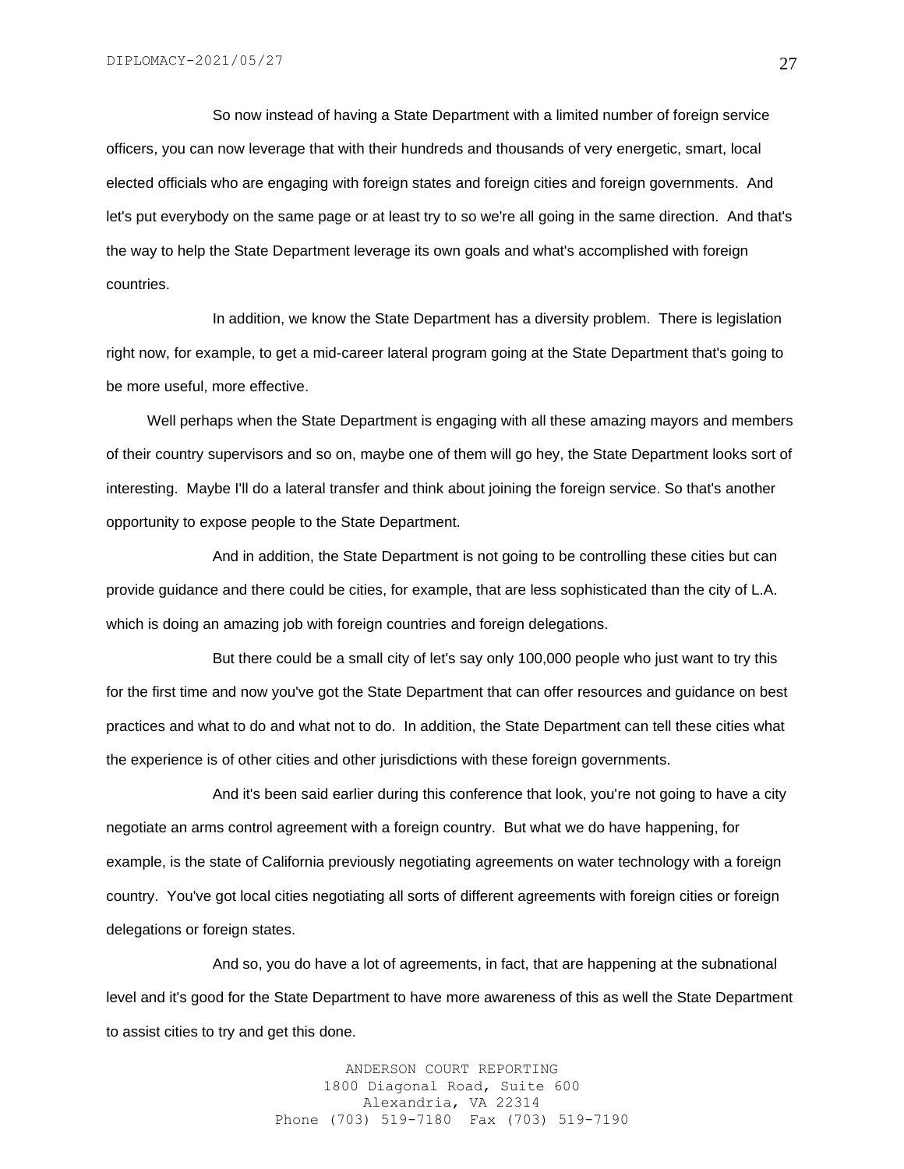So now instead of having a State Department with a limited number of foreign service officers, you can now leverage that with their hundreds and thousands of very energetic, smart, local elected officials who are engaging with foreign states and foreign cities and foreign governments. And let's put everybody on the same page or at least try to so we're all going in the same direction. And that's the way to help the State Department leverage its own goals and what's accomplished with foreign countries.

In addition, we know the State Department has a diversity problem. There is legislation right now, for example, to get a mid-career lateral program going at the State Department that's going to be more useful, more effective.

 Well perhaps when the State Department is engaging with all these amazing mayors and members of their country supervisors and so on, maybe one of them will go hey, the State Department looks sort of interesting. Maybe I'll do a lateral transfer and think about joining the foreign service. So that's another opportunity to expose people to the State Department.

And in addition, the State Department is not going to be controlling these cities but can provide guidance and there could be cities, for example, that are less sophisticated than the city of L.A. which is doing an amazing job with foreign countries and foreign delegations.

But there could be a small city of let's say only 100,000 people who just want to try this for the first time and now you've got the State Department that can offer resources and guidance on best practices and what to do and what not to do. In addition, the State Department can tell these cities what the experience is of other cities and other jurisdictions with these foreign governments.

And it's been said earlier during this conference that look, you're not going to have a city negotiate an arms control agreement with a foreign country. But what we do have happening, for example, is the state of California previously negotiating agreements on water technology with a foreign country. You've got local cities negotiating all sorts of different agreements with foreign cities or foreign delegations or foreign states.

And so, you do have a lot of agreements, in fact, that are happening at the subnational level and it's good for the State Department to have more awareness of this as well the State Department to assist cities to try and get this done.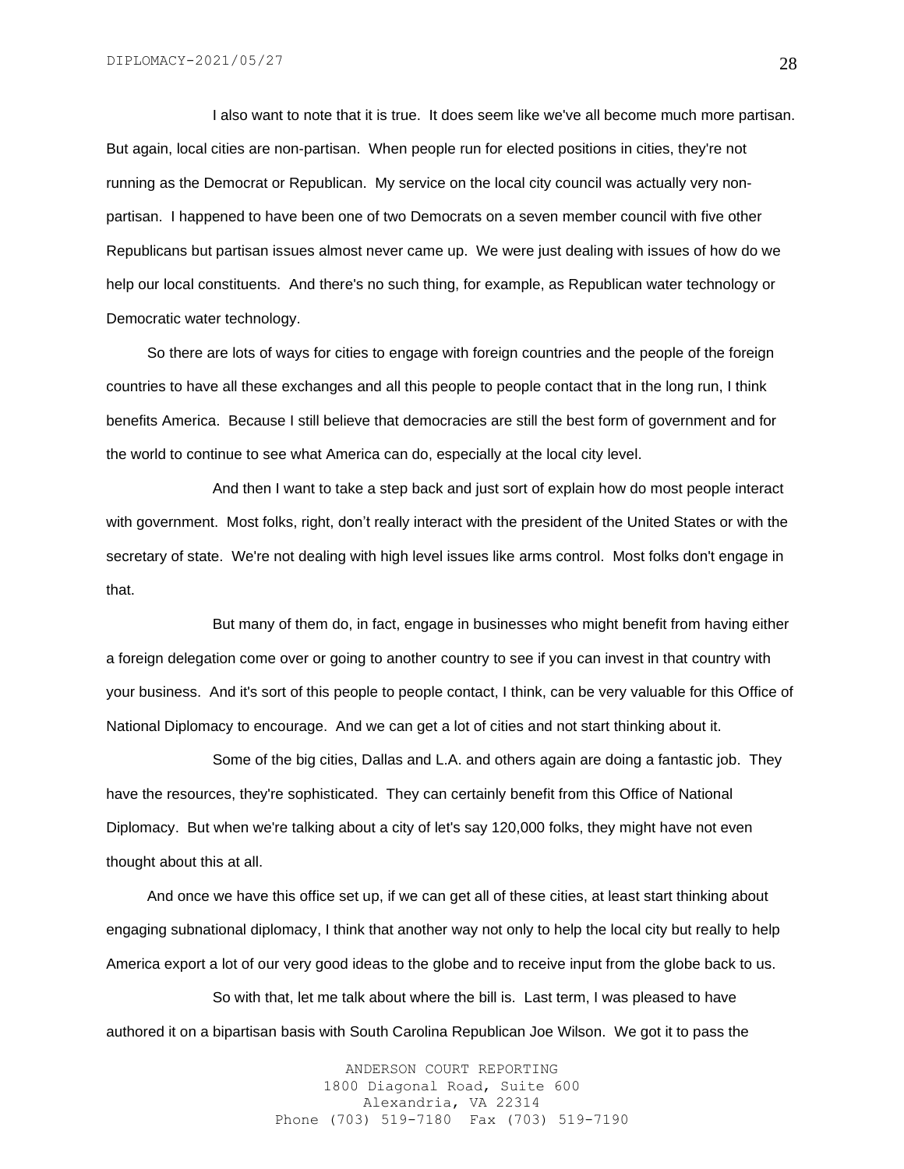I also want to note that it is true. It does seem like we've all become much more partisan. But again, local cities are non-partisan. When people run for elected positions in cities, they're not running as the Democrat or Republican. My service on the local city council was actually very nonpartisan. I happened to have been one of two Democrats on a seven member council with five other Republicans but partisan issues almost never came up. We were just dealing with issues of how do we help our local constituents. And there's no such thing, for example, as Republican water technology or Democratic water technology.

 So there are lots of ways for cities to engage with foreign countries and the people of the foreign countries to have all these exchanges and all this people to people contact that in the long run, I think benefits America. Because I still believe that democracies are still the best form of government and for the world to continue to see what America can do, especially at the local city level.

And then I want to take a step back and just sort of explain how do most people interact with government. Most folks, right, don't really interact with the president of the United States or with the secretary of state. We're not dealing with high level issues like arms control. Most folks don't engage in that.

But many of them do, in fact, engage in businesses who might benefit from having either a foreign delegation come over or going to another country to see if you can invest in that country with your business. And it's sort of this people to people contact, I think, can be very valuable for this Office of National Diplomacy to encourage. And we can get a lot of cities and not start thinking about it.

Some of the big cities, Dallas and L.A. and others again are doing a fantastic job. They have the resources, they're sophisticated. They can certainly benefit from this Office of National Diplomacy. But when we're talking about a city of let's say 120,000 folks, they might have not even thought about this at all.

 And once we have this office set up, if we can get all of these cities, at least start thinking about engaging subnational diplomacy, I think that another way not only to help the local city but really to help America export a lot of our very good ideas to the globe and to receive input from the globe back to us.

So with that, let me talk about where the bill is. Last term, I was pleased to have authored it on a bipartisan basis with South Carolina Republican Joe Wilson. We got it to pass the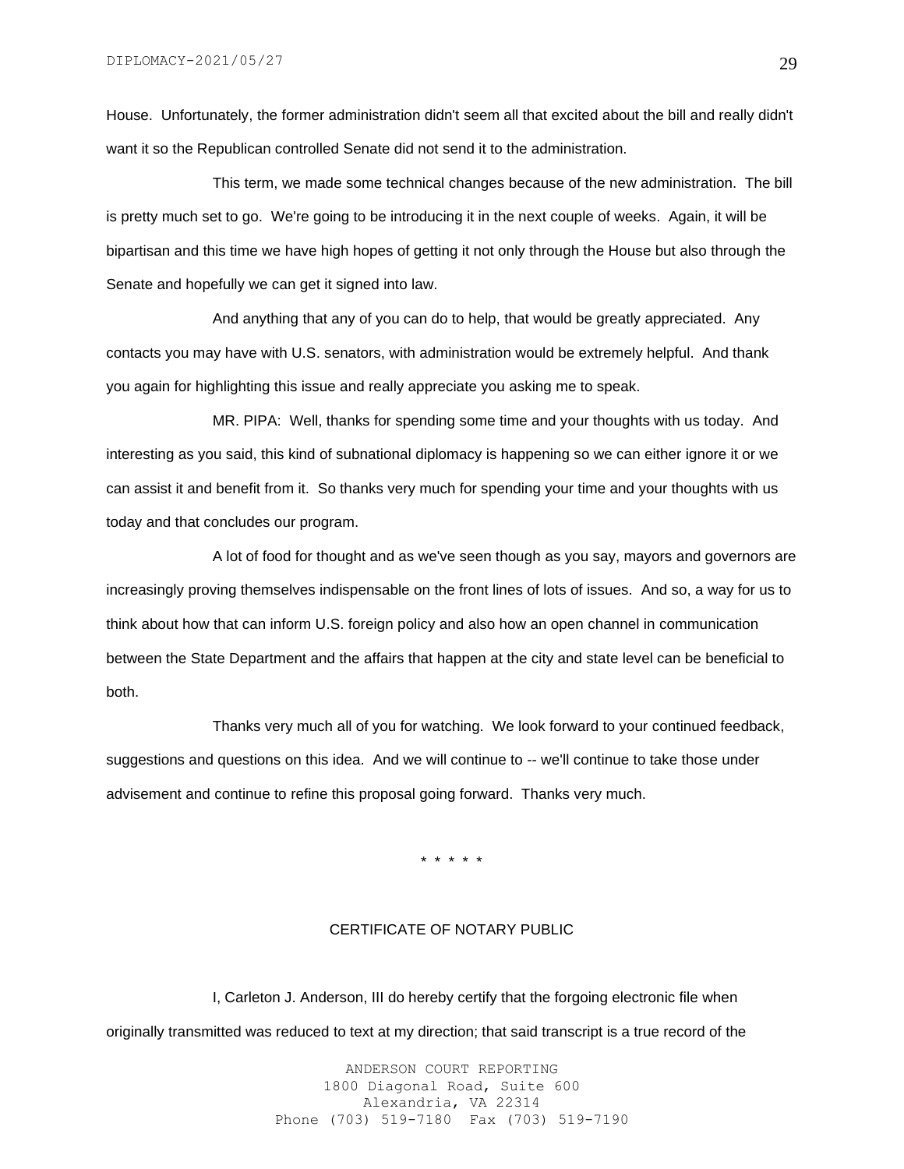House. Unfortunately, the former administration didn't seem all that excited about the bill and really didn't want it so the Republican controlled Senate did not send it to the administration.

This term, we made some technical changes because of the new administration. The bill is pretty much set to go. We're going to be introducing it in the next couple of weeks. Again, it will be bipartisan and this time we have high hopes of getting it not only through the House but also through the Senate and hopefully we can get it signed into law.

And anything that any of you can do to help, that would be greatly appreciated. Any contacts you may have with U.S. senators, with administration would be extremely helpful. And thank you again for highlighting this issue and really appreciate you asking me to speak.

MR. PIPA: Well, thanks for spending some time and your thoughts with us today. And interesting as you said, this kind of subnational diplomacy is happening so we can either ignore it or we can assist it and benefit from it. So thanks very much for spending your time and your thoughts with us today and that concludes our program.

A lot of food for thought and as we've seen though as you say, mayors and governors are increasingly proving themselves indispensable on the front lines of lots of issues. And so, a way for us to think about how that can inform U.S. foreign policy and also how an open channel in communication between the State Department and the affairs that happen at the city and state level can be beneficial to both.

Thanks very much all of you for watching. We look forward to your continued feedback, suggestions and questions on this idea. And we will continue to -- we'll continue to take those under advisement and continue to refine this proposal going forward. Thanks very much.

\* \* \* \* \*

#### CERTIFICATE OF NOTARY PUBLIC

I, Carleton J. Anderson, III do hereby certify that the forgoing electronic file when originally transmitted was reduced to text at my direction; that said transcript is a true record of the